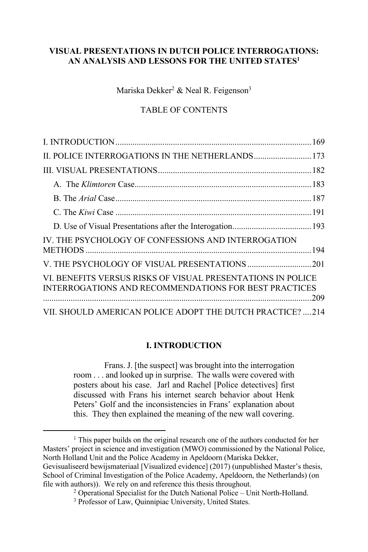# **VISUAL PRESENTATIONS IN DUTCH POLICE INTERROGATIONS: AN ANALYSIS AND LESSONS FOR THE UNITED STATES1**

Mariska Dekker<sup>2</sup> & Neal R. Feigenson<sup>3</sup>

# TABLE OF CONTENTS

| IV. THE PSYCHOLOGY OF CONFESSIONS AND INTERROGATION                                                                  |  |
|----------------------------------------------------------------------------------------------------------------------|--|
|                                                                                                                      |  |
| VI. BENEFITS VERSUS RISKS OF VISUAL PRESENTATIONS IN POLICE<br>INTERROGATIONS AND RECOMMENDATIONS FOR BEST PRACTICES |  |
| VII. SHOULD AMERICAN POLICE ADOPT THE DUTCH PRACTICE? 214                                                            |  |

# **I. INTRODUCTION**

Frans. J. [the suspect] was brought into the interrogation room . . . and looked up in surprise. The walls were covered with posters about his case. Jarl and Rachel [Police detectives] first discussed with Frans his internet search behavior about Henk Peters' Golf and the inconsistencies in Frans' explanation about this. They then explained the meaning of the new wall covering.

<sup>&</sup>lt;sup>1</sup> This paper builds on the original research one of the authors conducted for her Masters' project in science and investigation (MWO) commissioned by the National Police, North Holland Unit and the Police Academy in Apeldoorn (Mariska Dekker, Gevisualiseerd bewijsmateriaal [Visualized evidence] (2017) (unpublished Master's thesis, School of Criminal Investigation of the Police Academy, Apeldoorn, the Netherlands) (on file with authors)). We rely on and reference this thesis throughout.<br><sup>2</sup> Operational Specialist for the Dutch National Police – Unit North-Holland.

<sup>&</sup>lt;sup>3</sup> Professor of Law, Quinnipiac University, United States.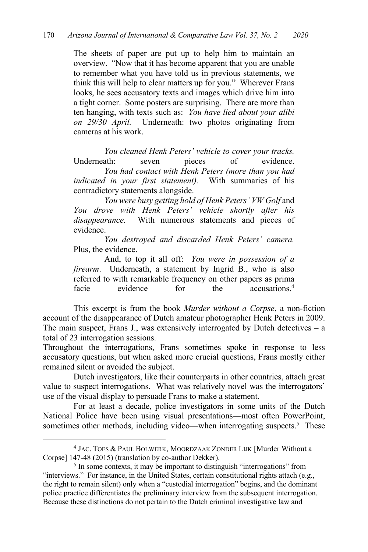The sheets of paper are put up to help him to maintain an overview. "Now that it has become apparent that you are unable to remember what you have told us in previous statements, we think this will help to clear matters up for you." Wherever Frans looks, he sees accusatory texts and images which drive him into a tight corner. Some posters are surprising. There are more than ten hanging, with texts such as: *You have lied about your alibi on 29/30 April.* Underneath: two photos originating from cameras at his work.

*You cleaned Henk Peters' vehicle to cover your tracks.* Underneath: seven pieces of evidence. *You had contact with Henk Peters (more than you had indicated in your first statement).* With summaries of his contradictory statements alongside.

*You were busy getting hold of Henk Peters' VW Golf* and *You drove with Henk Peters' vehicle shortly after his disappearance.* With numerous statements and pieces of evidence.

*You destroyed and discarded Henk Peters' camera.* Plus, the evidence.

And, to top it all off: *You were in possession of a firearm*. Underneath, a statement by Ingrid B., who is also referred to with remarkable frequency on other papers as prima facie evidence for the accusations.<sup>4</sup>

This excerpt is from the book *Murder without a Corpse*, a non-fiction account of the disappearance of Dutch amateur photographer Henk Peters in 2009. The main suspect, Frans J., was extensively interrogated by Dutch detectives  $-$  a total of 23 interrogation sessions.

Throughout the interrogations, Frans sometimes spoke in response to less accusatory questions, but when asked more crucial questions, Frans mostly either remained silent or avoided the subject.

Dutch investigators, like their counterparts in other countries, attach great value to suspect interrogations. What was relatively novel was the interrogators' use of the visual display to persuade Frans to make a statement.

For at least a decade, police investigators in some units of the Dutch National Police have been using visual presentations—most often PowerPoint, sometimes other methods, including video—when interrogating suspects.<sup>5</sup> These

<sup>4</sup> JAC. TOES & PAUL BOLWERK, MOORDZAAK ZONDER LIJK [Murder Without a Corpse] 147-48 (2015) (translation by co-author Dekker).

<sup>&</sup>lt;sup>5</sup> In some contexts, it may be important to distinguish "interrogations" from "interviews." For instance, in the United States, certain constitutional rights attach (e.g., the right to remain silent) only when a "custodial interrogation" begins, and the dominant police practice differentiates the preliminary interview from the subsequent interrogation. Because these distinctions do not pertain to the Dutch criminal investigative law and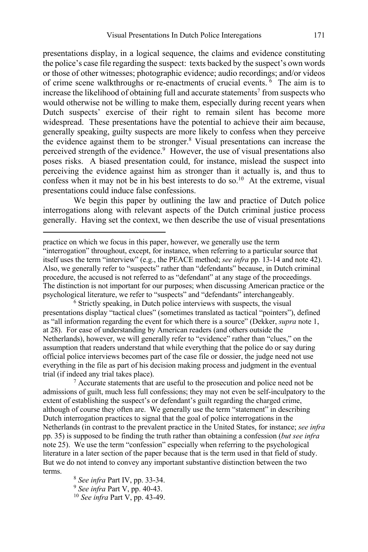presentations display, in a logical sequence, the claims and evidence constituting the police's case file regarding the suspect: texts backed by the suspect's own words or those of other witnesses; photographic evidence; audio recordings; and/or videos of crime scene walkthroughs or re-enactments of crucial events. <sup>6</sup> The aim is to increase the likelihood of obtaining full and accurate statements<sup>7</sup> from suspects who would otherwise not be willing to make them, especially during recent years when Dutch suspects' exercise of their right to remain silent has become more widespread. These presentations have the potential to achieve their aim because, generally speaking, guilty suspects are more likely to confess when they perceive the evidence against them to be stronger. <sup>8</sup> Visual presentations can increase the perceived strength of the evidence.<sup>9</sup> However, the use of visual presentations also poses risks. A biased presentation could, for instance, mislead the suspect into perceiving the evidence against him as stronger than it actually is, and thus to confess when it may not be in his best interests to do so.<sup>10</sup> At the extreme, visual presentations could induce false confessions.

We begin this paper by outlining the law and practice of Dutch police interrogations along with relevant aspects of the Dutch criminal justice process generally. Having set the context, we then describe the use of visual presentations

<sup>6</sup> Strictly speaking, in Dutch police interviews with suspects, the visual presentations display "tactical clues" (sometimes translated as tactical "pointers"), defined as "all information regarding the event for which there is a source" (Dekker, *supra* note 1, at 28). For ease of understanding by American readers (and others outside the Netherlands), however, we will generally refer to "evidence" rather than "clues," on the assumption that readers understand that while everything that the police do or say during official police interviews becomes part of the case file or dossier, the judge need not use everything in the file as part of his decision making process and judgment in the eventual trial (if indeed any trial takes place).

<sup>7</sup> Accurate statements that are useful to the prosecution and police need not be admissions of guilt, much less full confessions; they may not even be self-inculpatory to the extent of establishing the suspect's or defendant's guilt regarding the charged crime, although of course they often are. We generally use the term "statement" in describing Dutch interrogation practices to signal that the goal of police interrogations in the Netherlands (in contrast to the prevalent practice in the United States, for instance; *see infra* pp. 35) is supposed to be finding the truth rather than obtaining a confession (*but see infra* note 25). We use the term "confession" especially when referring to the psychological literature in a later section of the paper because that is the term used in that field of study. But we do not intend to convey any important substantive distinction between the two terms.

> <sup>8</sup> *See infra* Part IV, pp. 33-34. 9 *See infra* Part V, pp. 40-43. <sup>10</sup> *See infra* Part V, pp. 43-49.

practice on which we focus in this paper, however, we generally use the term "interrogation" throughout, except, for instance, when referring to a particular source that itself uses the term "interview" (e.g., the PEACE method; *see infra* pp. 13-14 and note 42). Also, we generally refer to "suspects" rather than "defendants" because, in Dutch criminal procedure, the accused is not referred to as "defendant" at any stage of the proceedings. The distinction is not important for our purposes; when discussing American practice or the psychological literature, we refer to "suspects" and "defendants" interchangeably.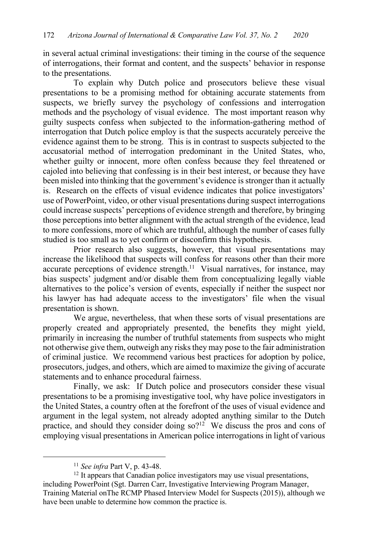in several actual criminal investigations: their timing in the course of the sequence of interrogations, their format and content, and the suspects' behavior in response to the presentations.

To explain why Dutch police and prosecutors believe these visual presentations to be a promising method for obtaining accurate statements from suspects, we briefly survey the psychology of confessions and interrogation methods and the psychology of visual evidence. The most important reason why guilty suspects confess when subjected to the information-gathering method of interrogation that Dutch police employ is that the suspects accurately perceive the evidence against them to be strong. This is in contrast to suspects subjected to the accusatorial method of interrogation predominant in the United States, who, whether guilty or innocent, more often confess because they feel threatened or cajoled into believing that confessing is in their best interest, or because they have been misled into thinking that the government's evidence is stronger than it actually is. Research on the effects of visual evidence indicates that police investigators' use of PowerPoint, video, or other visual presentations during suspect interrogations could increase suspects' perceptions of evidence strength and therefore, by bringing those perceptions into better alignment with the actual strength of the evidence, lead to more confessions, more of which are truthful, although the number of cases fully studied is too small as to yet confirm or disconfirm this hypothesis.

Prior research also suggests, however, that visual presentations may increase the likelihood that suspects will confess for reasons other than their more accurate perceptions of evidence strength.<sup>11</sup> Visual narratives, for instance, may bias suspects' judgment and/or disable them from conceptualizing legally viable alternatives to the police's version of events, especially if neither the suspect nor his lawyer has had adequate access to the investigators' file when the visual presentation is shown.

We argue, nevertheless, that when these sorts of visual presentations are properly created and appropriately presented, the benefits they might yield, primarily in increasing the number of truthful statements from suspects who might not otherwise give them, outweigh any risks they may pose to the fair administration of criminal justice. We recommend various best practices for adoption by police, prosecutors, judges, and others, which are aimed to maximize the giving of accurate statements and to enhance procedural fairness.

Finally, we ask: If Dutch police and prosecutors consider these visual presentations to be a promising investigative tool, why have police investigators in the United States, a country often at the forefront of the uses of visual evidence and argument in the legal system, not already adopted anything similar to the Dutch practice, and should they consider doing  $\delta$  so?<sup>12</sup> We discuss the pros and cons of employing visual presentations in American police interrogations in light of various

<sup>12</sup> It appears that Canadian police investigators may use visual presentations, including PowerPoint (Sgt. Darren Carr, Investigative Interviewing Program Manager, Training Material onThe RCMP Phased Interview Model for Suspects (2015)), although we have been unable to determine how common the practice is.

<sup>11</sup> *See infra* Part V, p. 43-48.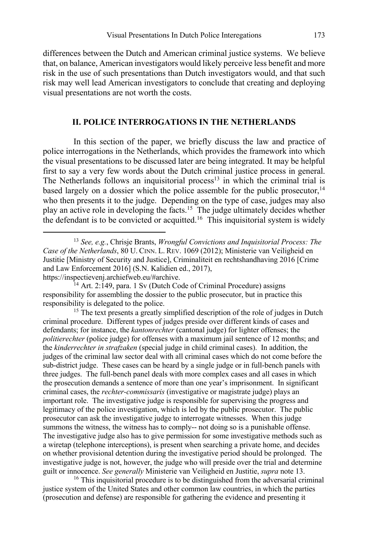differences between the Dutch and American criminal justice systems. We believe that, on balance, American investigators would likely perceive less benefit and more risk in the use of such presentations than Dutch investigators would, and that such risk may well lead American investigators to conclude that creating and deploying visual presentations are not worth the costs.

#### **II. POLICE INTERROGATIONS IN THE NETHERLANDS**

In this section of the paper, we briefly discuss the law and practice of police interrogations in the Netherlands, which provides the framework into which the visual presentations to be discussed later are being integrated. It may be helpful first to say a very few words about the Dutch criminal justice process in general. The Netherlands follows an inquisitorial process<sup>13</sup> in which the criminal trial is based largely on a dossier which the police assemble for the public prosecutor,<sup>14</sup> who then presents it to the judge. Depending on the type of case, judges may also play an active role in developing the facts.15 The judge ultimately decides whether the defendant is to be convicted or acquitted.<sup>16</sup> This inquisitorial system is widely

<sup>15</sup> The text presents a greatly simplified description of the role of judges in Dutch criminal procedure. Different types of judges preside over different kinds of cases and defendants; for instance, the *kantonrechter* (cantonal judge) for lighter offenses; the *politierechter* (police judge) for offenses with a maximum jail sentence of 12 months; and the *kinderrechter in strafzaken* (special judge in child criminal cases). In addition, the judges of the criminal law sector deal with all criminal cases which do not come before the sub-district judge. These cases can be heard by a single judge or in full-bench panels with three judges. The full-bench panel deals with more complex cases and all cases in which the prosecution demands a sentence of more than one year's imprisonment. In significant criminal cases, the *rechter-commissaris* (investigative or magistrate judge) plays an important role. The investigative judge is responsible for supervising the progress and legitimacy of the police investigation, which is led by the public prosecutor. The public prosecutor can ask the investigative judge to interrogate witnesses. When this judge summons the witness, the witness has to comply-- not doing so is a punishable offense. The investigative judge also has to give permission for some investigative methods such as a wiretap (telephone interceptions), is present when searching a private home, and decides on whether provisional detention during the investigative period should be prolonged. The investigative judge is not, however, the judge who will preside over the trial and determine guilt or innocence. *See generally* Ministerie van Veiligheid en Justitie, *supra* note 13.

<sup>16</sup> This inquisitorial procedure is to be distinguished from the adversarial criminal justice system of the United States and other common law countries, in which the parties (prosecution and defense) are responsible for gathering the evidence and presenting it

<sup>13</sup> *See, e.g.*, Chrisje Brants, *Wrongful Convictions and Inquisitorial Process: The Case of the Netherlands*, 80 U. CINN. L. REV. 1069 (2012); Ministerie van Veiligheid en Justitie [Ministry of Security and Justice], Criminaliteit en rechtshandhaving 2016 [Crime and Law Enforcement 2016] (S.N. Kalidien ed., 2017), https://inspectievenj.archiefweb.eu/#archive.

<sup>&</sup>lt;sup>14</sup> Art. 2:149, para. 1 Sv (Dutch Code of Criminal Procedure) assigns responsibility for assembling the dossier to the public prosecutor, but in practice this responsibility is delegated to the police.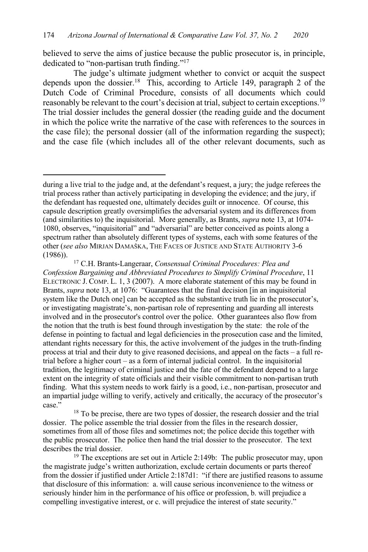believed to serve the aims of justice because the public prosecutor is, in principle, dedicated to "non-partisan truth finding."17

The judge's ultimate judgment whether to convict or acquit the suspect depends upon the dossier.<sup>18</sup> This, according to Article 149, paragraph 2 of the Dutch Code of Criminal Procedure, consists of all documents which could reasonably be relevant to the court's decision at trial, subject to certain exceptions.<sup>19</sup> The trial dossier includes the general dossier (the reading guide and the document in which the police write the narrative of the case with references to the sources in the case file); the personal dossier (all of the information regarding the suspect); and the case file (which includes all of the other relevant documents, such as

the magistrate judge's written authorization, exclude certain documents or parts thereof from the dossier if justified under Article 2:187d1: "if there are justified reasons to assume that disclosure of this information: a. will cause serious inconvenience to the witness or seriously hinder him in the performance of his office or profession, b. will prejudice a compelling investigative interest, or c. will prejudice the interest of state security."

during a live trial to the judge and, at the defendant's request, a jury; the judge referees the trial process rather than actively participating in developing the evidence; and the jury, if the defendant has requested one, ultimately decides guilt or innocence. Of course, this capsule description greatly oversimplifies the adversarial system and its differences from (and similarities to) the inquisitorial. More generally, as Brants, *supra* note 13, at 1074- 1080, observes, "inquisitorial" and "adversarial" are better conceived as points along a spectrum rather than absolutely different types of systems, each with some features of the other (*see also* MIRJAN DAMAŠKA, THE FACES OF JUSTICE AND STATE AUTHORITY 3-6 (1986)).

<sup>17</sup> C.H. Brants-Langeraar, *Consensual Criminal Procedures: Plea and Confession Bargaining and Abbreviated Procedures to Simplify Criminal Procedure*, 11 ELECTRONIC J. COMP. L. 1, 3 (2007). A more elaborate statement of this may be found in Brants, *supra* note 13, at 1076: "Guarantees that the final decision [in an inquisitorial system like the Dutch one] can be accepted as the substantive truth lie in the prosecutor's, or investigating magistrate's, non-partisan role of representing and guarding all interests involved and in the prosecutor's control over the police. Other guarantees also flow from the notion that the truth is best found through investigation by the state: the role of the defense in pointing to factual and legal deficiencies in the prosecution case and the limited, attendant rights necessary for this, the active involvement of the judges in the truth-finding process at trial and their duty to give reasoned decisions, and appeal on the facts – a full retrial before a higher court – as a form of internal judicial control. In the inquisitorial tradition, the legitimacy of criminal justice and the fate of the defendant depend to a large extent on the integrity of state officials and their visible commitment to non-partisan truth finding. What this system needs to work fairly is a good, i.e., non-partisan, prosecutor and an impartial judge willing to verify, actively and critically, the accuracy of the prosecutor's case."

<sup>&</sup>lt;sup>18</sup> To be precise, there are two types of dossier, the research dossier and the trial dossier. The police assemble the trial dossier from the files in the research dossier, sometimes from all of those files and sometimes not; the police decide this together with the public prosecutor. The police then hand the trial dossier to the prosecutor. The text describes the trial dossier.<br><sup>19</sup> The exceptions are set out in Article 2:149b: The public prosecutor may, upon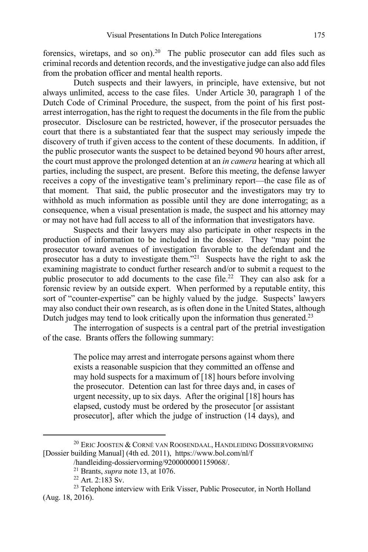forensics, wiretaps, and so on). <sup>20</sup> The public prosecutor can add files such as criminal records and detention records, and the investigative judge can also add files from the probation officer and mental health reports.

Dutch suspects and their lawyers, in principle, have extensive, but not always unlimited, access to the case files. Under Article 30, paragraph 1 of the Dutch Code of Criminal Procedure, the suspect, from the point of his first postarrest interrogation, has the right to request the documents in the file from the public prosecutor. Disclosure can be restricted, however, if the prosecutor persuades the court that there is a substantiated fear that the suspect may seriously impede the discovery of truth if given access to the content of these documents. In addition, if the public prosecutor wants the suspect to be detained beyond 90 hours after arrest, the court must approve the prolonged detention at an *in camera* hearing at which all parties, including the suspect, are present. Before this meeting, the defense lawyer receives a copy of the investigative team's preliminary report—the case file as of that moment. That said, the public prosecutor and the investigators may try to withhold as much information as possible until they are done interrogating; as a consequence, when a visual presentation is made, the suspect and his attorney may or may not have had full access to all of the information that investigators have.

Suspects and their lawyers may also participate in other respects in the production of information to be included in the dossier. They "may point the prosecutor toward avenues of investigation favorable to the defendant and the prosecutor has a duty to investigate them."21 Suspects have the right to ask the examining magistrate to conduct further research and/or to submit a request to the public prosecutor to add documents to the case file.<sup>22</sup> They can also ask for a forensic review by an outside expert. When performed by a reputable entity, this sort of "counter-expertise" can be highly valued by the judge. Suspects' lawyers may also conduct their own research, as is often done in the United States, although Dutch judges may tend to look critically upon the information thus generated.<sup>23</sup>

The interrogation of suspects is a central part of the pretrial investigation of the case. Brants offers the following summary:

> The police may arrest and interrogate persons against whom there exists a reasonable suspicion that they committed an offense and may hold suspects for a maximum of [18] hours before involving the prosecutor. Detention can last for three days and, in cases of urgent necessity, up to six days. After the original [18] hours has elapsed, custody must be ordered by the prosecutor [or assistant prosecutor], after which the judge of instruction (14 days), and

 $^{20}$  Eric Joosten & Corné van Roosendaal, Handleiding Dossiervorming [Dossier building Manual] (4th ed. 2011), https://www.bol.com/nl/f

<sup>/</sup>handleiding-dossiervorming/9200000001159068/.<br><sup>21</sup> Brants, *supra* note 13, at 1076.

<sup>&</sup>lt;sup>22</sup> Art. 2:183 Sv.<br><sup>23</sup> Telephone interview with Erik Visser, Public Prosecutor, in North Holland (Aug. 18, 2016).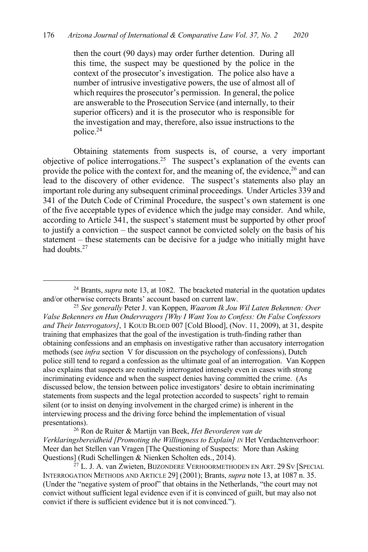then the court (90 days) may order further detention. During all this time, the suspect may be questioned by the police in the context of the prosecutor's investigation. The police also have a number of intrusive investigative powers, the use of almost all of which requires the prosecutor's permission. In general, the police are answerable to the Prosecution Service (and internally, to their superior officers) and it is the prosecutor who is responsible for the investigation and may, therefore, also issue instructions to the police.24

Obtaining statements from suspects is, of course, a very important objective of police interrogations. 25 The suspect's explanation of the events can provide the police with the context for, and the meaning of, the evidence,<sup>26</sup> and can lead to the discovery of other evidence. The suspect's statements also play an important role during any subsequent criminal proceedings. Under Articles 339 and 341 of the Dutch Code of Criminal Procedure, the suspect's own statement is one of the five acceptable types of evidence which the judge may consider. And while, according to Article 341, the suspect's statement must be supported by other proof to justify a conviction – the suspect cannot be convicted solely on the basis of his statement – these statements can be decisive for a judge who initially might have had doubts<sup>27</sup>

<sup>26</sup> Ron de Ruiter & Martijn van Beek, *Het Bevorderen van de Verklaringsbereidheid [Promoting the Willingness to Explain] IN* Het Verdachtenverhoor: Meer dan het Stellen van Vragen [The Questioning of Suspects: More than Asking Questions] (Rudi Schellingen & Nienken Scholten eds., 2014).

<sup>&</sup>lt;sup>24</sup> Brants, *supra* note 13, at 1082. The bracketed material in the quotation updates and/or otherwise corrects Brants' account based on current law.

<sup>25</sup> *See generally* Peter J. van Koppen, *Waarom Ik Jou Wil Laten Bekennen: Over Valse Bekenners en Hun Ondervragers [Why I Want You to Confess: On False Confessors and Their Interrogators]*, 1 KOUD BLOED 007 [Cold Blood], (Nov. 11, 2009), at 31, despite training that emphasizes that the goal of the investigation is truth-finding rather than obtaining confessions and an emphasis on investigative rather than accusatory interrogation methods (see *infra* section V for discussion on the psychology of confessions), Dutch police still tend to regard a confession as the ultimate goal of an interrogation. Van Koppen also explains that suspects are routinely interrogated intensely even in cases with strong incriminating evidence and when the suspect denies having committed the crime. (As discussed below, the tension between police investigators' desire to obtain incriminating statements from suspects and the legal protection accorded to suspects' right to remain silent (or to insist on denying involvement in the charged crime) is inherent in the interviewing process and the driving force behind the implementation of visual presentations).

<sup>&</sup>lt;sup>27</sup> L. J. A. van Zwieten, BIJZONDERE VERHOORMETHODEN EN ART. 29 SV [SPECIAL INTERROGATION METHODS AND ARTICLE 29] (2001); Brants, *supra* note 13, at 1087 n. 35. (Under the "negative system of proof" that obtains in the Netherlands, "the court may not convict without sufficient legal evidence even if it is convinced of guilt, but may also not convict if there is sufficient evidence but it is not convinced.").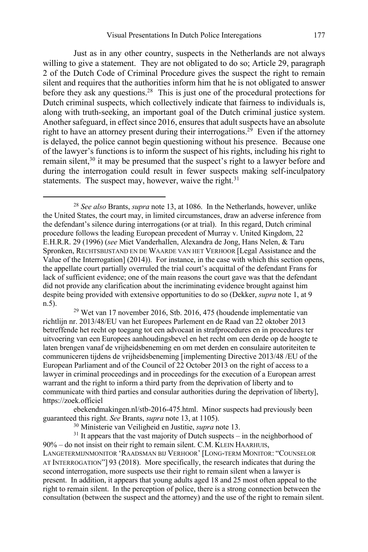Just as in any other country, suspects in the Netherlands are not always willing to give a statement. They are not obligated to do so; Article 29, paragraph 2 of the Dutch Code of Criminal Procedure gives the suspect the right to remain silent and requires that the authorities inform him that he is not obligated to answer before they ask any questions.<sup>28</sup> This is just one of the procedural protections for Dutch criminal suspects, which collectively indicate that fairness to individuals is, along with truth-seeking, an important goal of the Dutch criminal justice system. Another safeguard, in effect since 2016, ensures that adult suspects have an absolute right to have an attorney present during their interrogations.<sup>29</sup> Even if the attorney is delayed, the police cannot begin questioning without his presence. Because one of the lawyer's functions is to inform the suspect of his rights, including his right to remain silent,<sup>30</sup> it may be presumed that the suspect's right to a lawyer before and during the interrogation could result in fewer suspects making self-inculpatory statements. The suspect may, however, waive the right. $31$ 

<sup>29</sup> Wet van 17 november 2016, Stb. 2016, 475 (houdende implementatie van richtlijn nr. 2013/48/EU van het Europees Parlement en de Raad van 22 oktober 2013 betreffende het recht op toegang tot een advocaat in strafprocedures en in procedures ter uitvoering van een Europees aanhoudingsbevel en het recht om een derde op de hoogte te laten brengen vanaf de vrijheidsbeneming en om met derden en consulaire autoriteiten te communiceren tijdens de vrijheidsbeneming [implementing Directive 2013/48 /EU of the European Parliament and of the Council of 22 October 2013 on the right of access to a lawyer in criminal proceedings and in proceedings for the execution of a European arrest warrant and the right to inform a third party from the deprivation of liberty and to communicate with third parties and consular authorities during the deprivation of liberty], https://zoek.officiel

ebekendmakingen.nl/stb-2016-475.html. Minor suspects had previously been guaranteed this right. *See* Brants, *supra* note 13, at 1105).

<sup>30</sup> Ministerie van Veiligheid en Justitie, *supra* note 13.

 $31$  It appears that the vast majority of Dutch suspects – in the neighborhood of 90% – do not insist on their right to remain silent. C.M. KLEIN HAARHUIS, LANGETERMIJNMONITOR 'RAADSMAN BIJ VERHOOR' [LONG-TERM MONITOR: "COUNSELOR AT INTERROGATION"] 93 (2018). More specifically, the research indicates that during the second interrogation, more suspects use their right to remain silent when a lawyer is present. In addition, it appears that young adults aged 18 and 25 most often appeal to the right to remain silent. In the perception of police, there is a strong connection between the consultation (between the suspect and the attorney) and the use of the right to remain silent.

<sup>28</sup> *See also* Brants, *supra* note 13, at 1086. In the Netherlands, however, unlike the United States, the court may, in limited circumstances, draw an adverse inference from the defendant's silence during interrogations (or at trial). In this regard, Dutch criminal procedure follows the leading European precedent of Murray v. United Kingdom, 22 E.H.R.R. 29 (1996) (*see* Miet Vanderhallen, Alexandra de Jong, Hans Nelen, & Taru Spronken, RECHTSBIJSTAND EN DE WAARDE VAN HET VERHOOR [Legal Assistance and the Value of the Interrogation] (2014)). For instance, in the case with which this section opens, the appellate court partially overruled the trial court's acquittal of the defendant Frans for lack of sufficient evidence; one of the main reasons the court gave was that the defendant did not provide any clarification about the incriminating evidence brought against him despite being provided with extensive opportunities to do so (Dekker, *supra* note 1, at 9 n.5).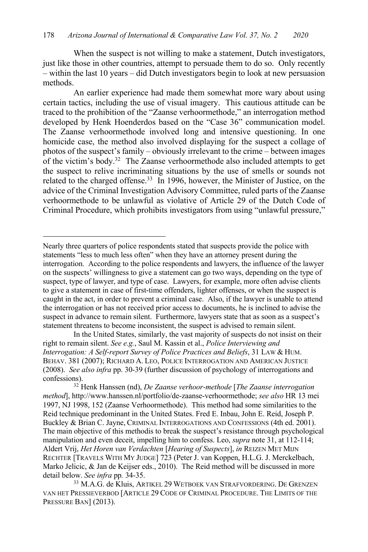When the suspect is not willing to make a statement, Dutch investigators, just like those in other countries, attempt to persuade them to do so. Only recently – within the last 10 years – did Dutch investigators begin to look at new persuasion methods.

An earlier experience had made them somewhat more wary about using certain tactics, including the use of visual imagery. This cautious attitude can be traced to the prohibition of the "Zaanse verhoormethode," an interrogation method developed by Henk Hoenderdos based on the "Case 36" communication model. The Zaanse verhoormethode involved long and intensive questioning. In one homicide case, the method also involved displaying for the suspect a collage of photos of the suspect's family – obviously irrelevant to the crime – between images of the victim's body. 32 The Zaanse verhoormethode also included attempts to get the suspect to relive incriminating situations by the use of smells or sounds not related to the charged offense.<sup>33</sup> In 1996, however, the Minister of Justice, on the advice of the Criminal Investigation Advisory Committee, ruled parts of the Zaanse verhoormethode to be unlawful as violative of Article 29 of the Dutch Code of Criminal Procedure, which prohibits investigators from using "unlawful pressure,"

Nearly three quarters of police respondents stated that suspects provide the police with statements "less to much less often" when they have an attorney present during the interrogation. According to the police respondents and lawyers, the influence of the lawyer on the suspects' willingness to give a statement can go two ways, depending on the type of suspect, type of lawyer, and type of case. Lawyers, for example, more often advise clients to give a statement in case of first-time offenders, lighter offenses, or when the suspect is caught in the act, in order to prevent a criminal case. Also, if the lawyer is unable to attend the interrogation or has not received prior access to documents, he is inclined to advise the suspect in advance to remain silent. Furthermore, lawyers state that as soon as a suspect's statement threatens to become inconsistent, the suspect is advised to remain silent.

In the United States, similarly, the vast majority of suspects do not insist on their right to remain silent. *See e.g.*, Saul M. Kassin et al., *Police Interviewing and Interrogation: A Self-report Survey of Police Practices and Beliefs*, 31 LAW & HUM. BEHAV. 381 (2007); RICHARD A. LEO, POLICE INTERROGATION AND AMERICAN JUSTICE (2008). *See also infra* pp. 30-39 (further discussion of psychology of interrogations and confessions).

<sup>32</sup> Henk Hanssen (nd), *De Zaanse verhoor-methode* [*The Zaanse interrogation method*], http://www.hanssen.nl/portfolio/de-zaanse-verhoormethode; *see also* HR 13 mei 1997, NJ 1998, 152 (Zaanse Verhoormethode). This method had some similarities to the Reid technique predominant in the United States. Fred E. Inbau, John E. Reid, Joseph P. Buckley & Brian C. Jayne, CRIMINAL INTERROGATIONS AND CONFESSIONS (4th ed. 2001). The main objective of this methodis to break the suspect's resistance through psychological manipulation and even deceit, impelling him to confess. Leo, *supra* note 31, at 112-114; Aldert Vrij, *Het Horen van Verdachten* [*Hearing of Suspects*], *in* REIZEN MET MIJN RECHTER [TRAVELS WITH MY JUDGE] 723 (Peter J. van Koppen, H.L.G. J. Merckelbach, Marko Jelicic, & Jan de Keijser eds., 2010). The Reid method will be discussed in more detail below. *See infra* pp*.* 34-35.

<sup>&</sup>lt;sup>33</sup> M.A.G. de Kluis, ARTIKEL 29 WETBOEK VAN STRAFVORDERING. DE GRENZEN VAN HET PRESSIEVERBOD [ARTICLE 29 CODE OF CRIMINAL PROCEDURE. THE LIMITS OF THE PRESSURE BAN] (2013).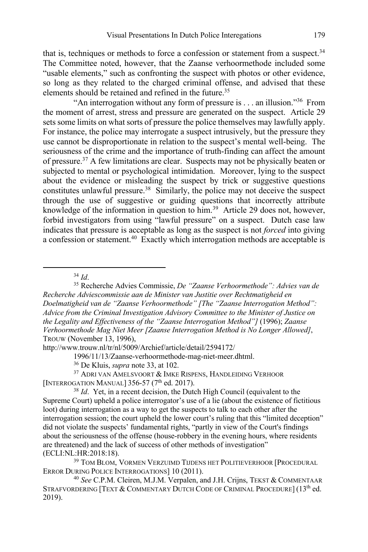that is, techniques or methods to force a confession or statement from a suspect.<sup>34</sup> The Committee noted, however, that the Zaanse verhoormethode included some "usable elements," such as confronting the suspect with photos or other evidence, so long as they related to the charged criminal offense, and advised that these elements should be retained and refined in the future. 35

"An interrogation without any form of pressure is  $\dots$  an illusion."<sup>36</sup> From the moment of arrest, stress and pressure are generated on the suspect. Article 29 sets some limits on what sorts of pressure the police themselves may lawfully apply. For instance, the police may interrogate a suspect intrusively, but the pressure they use cannot be disproportionate in relation to the suspect's mental well-being. The seriousness of the crime and the importance of truth-finding can affect the amount of pressure.37 A few limitations are clear. Suspects may not be physically beaten or subjected to mental or psychological intimidation. Moreover, lying to the suspect about the evidence or misleading the suspect by trick or suggestive questions constitutes unlawful pressure. 38 Similarly, the police may not deceive the suspect through the use of suggestive or guiding questions that incorrectly attribute knowledge of the information in question to him.<sup>39</sup> Article 29 does not, however, forbid investigators from using "lawful pressure" on a suspect. Dutch case law indicates that pressure is acceptable as long as the suspect is not *forced* into giving a confession or statement. <sup>40</sup> Exactly which interrogation methods are acceptable is

<sup>34</sup> *Id*.

<sup>35</sup> Recherche Advies Commissie, *De "Zaanse Verhoormethode": Advies van de Recherche Adviescommissie aan de Minister van Justitie over Rechtmatigheid en Doelmatigheid van de "Zaanse Verhoormethode" [The "Zaanse Interrogation Method": Advice from the Criminal Investigation Advisory Committee to the Minister of Justice on the Legality and Effectiveness of the "Zaanse Interrogation Method"]* (1996); *Zaanse Verhoormethode Mag Niet Meer [Zaanse Interrogation Method is No Longer Allowed]*, TROUW (November 13, 1996),

http://www.trouw.nl/tr/nl/5009/Archief/article/detail/2594172/

1996/11/13/Zaanse-verhoormethode-mag-niet-meer.dhtml.

<sup>36</sup> De Kluis, *supra* note 33, at 102.

<sup>37</sup> ADRI VAN AMELSVOORT & IMKE RISPENS, HANDLEIDING VERHOOR [INTERROGATION MANUAL] 356-57 (7<sup>th</sup> ed. 2017).

<sup>38</sup> *Id*. Yet, in a recent decision, the Dutch High Council (equivalent to the Supreme Court) upheld a police interrogator's use of a lie (about the existence of fictitious loot) during interrogation as a way to get the suspects to talk to each other after the interrogation session; the court upheld the lower court's ruling that this "limited deception" did not violate the suspects' fundamental rights, "partly in view of the Court's findings about the seriousness of the offense (house-robbery in the evening hours, where residents are threatened) and the lack of success of other methods of investigation" (ECLI:NL:HR:2018:18).

<sup>39</sup> TOM BLOM, VORMEN VERZUIMD TIJDENS HET POLITIEVERHOOR [PROCEDURAL ERROR DURING POLICE INTERROGATIONS] 10 (2011).

<sup>40</sup> *See* C.P.M. Cleiren, M.J.M. Verpalen, and J.H. Crijns, TEKST & COMMENTAAR STRAFVORDERING [TEXT & COMMENTARY DUTCH CODE OF CRIMINAL PROCEDURE] (13<sup>th</sup> ed. 2019).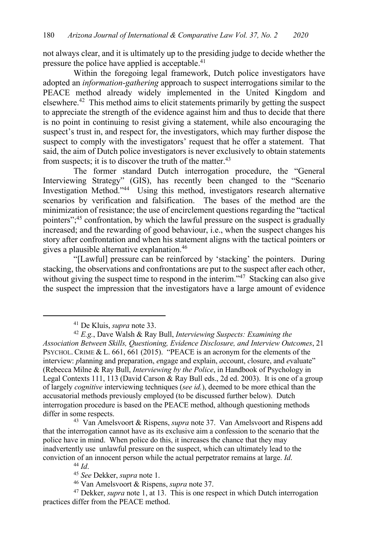not always clear, and it is ultimately up to the presiding judge to decide whether the pressure the police have applied is acceptable.<sup>41</sup>

Within the foregoing legal framework, Dutch police investigators have adopted an *information-gathering* approach to suspect interrogations similar to the PEACE method already widely implemented in the United Kingdom and elsewhere.42 This method aims to elicit statements primarily by getting the suspect to appreciate the strength of the evidence against him and thus to decide that there is no point in continuing to resist giving a statement, while also encouraging the suspect's trust in, and respect for, the investigators, which may further dispose the suspect to comply with the investigators' request that he offer a statement. That said, the aim of Dutch police investigators is never exclusively to obtain statements from suspects; it is to discover the truth of the matter.<sup>43</sup>

The former standard Dutch interrogation procedure, the "General Interviewing Strategy" (GIS), has recently been changed to the "Scenario Investigation Method."44 Using this method, investigators research alternative scenarios by verification and falsification. The bases of the method are the minimization of resistance; the use of encirclement questions regarding the "tactical pointers";<sup>45</sup> confrontation, by which the lawful pressure on the suspect is gradually increased; and the rewarding of good behaviour, i.e., when the suspect changes his story after confrontation and when his statement aligns with the tactical pointers or gives a plausible alternative explanation. 46

"[Lawful] pressure can be reinforced by 'stacking' the pointers. During stacking, the observations and confrontations are put to the suspect after each other, without giving the suspect time to respond in the interim."<sup>47</sup> Stacking can also give the suspect the impression that the investigators have a large amount of evidence

<sup>44</sup> *Id*.

<sup>41</sup> De Kluis, *supra* note 33.

<sup>42</sup> *E.g.*, Dave Walsh & Ray Bull, *Interviewing Suspects: Examining the* 

*Association Between Skills, Questioning, Evidence Disclosure, and Interview Outcomes*, 21 PSYCHOL. CRIME & L. 661, 661 (2015). "PEACE is an acronym for the elements of the interview: *p*lanning and preparation, *e*ngage and explain, *a*ccount, *c*losure, and *e*valuate" (Rebecca Milne & Ray Bull, *Interviewing by the Police*, in Handbook of Psychology in Legal Contexts 111, 113 (David Carson & Ray Bull eds., 2d ed. 2003). It is one of a group of largely *cognitive* interviewing techniques (*see id.*), deemed to be more ethical than the accusatorial methods previously employed (to be discussed further below). Dutch interrogation procedure is based on the PEACE method, although questioning methods differ in some respects.

<sup>43</sup> Van Amelsvoort & Rispens, *supra* note 37. Van Amelsvoort and Rispens add that the interrogation cannot have as its exclusive aim a confession to the scenario that the police have in mind. When police do this, it increases the chance that they may inadvertently use unlawful pressure on the suspect, which can ultimately lead to the conviction of an innocent person while the actual perpetrator remains at large. *Id*.

<sup>45</sup> *See* Dekker, *supra* note 1.

<sup>46</sup> Van Amelsvoort & Rispens, *supra* note 37.

<sup>47</sup> Dekker, *supra* note 1, at 13. This is one respect in which Dutch interrogation practices differ from the PEACE method.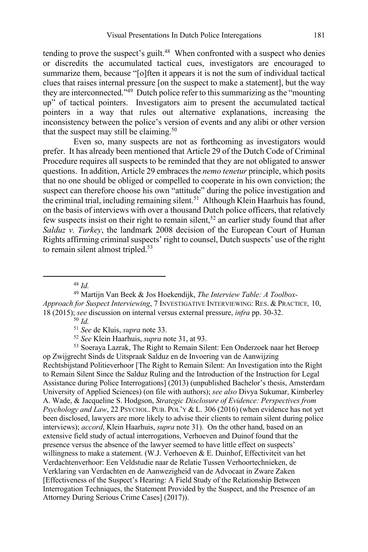tending to prove the suspect's guilt.<sup>48</sup> When confronted with a suspect who denies or discredits the accumulated tactical cues, investigators are encouraged to summarize them, because "[o]ften it appears it is not the sum of individual tactical clues that raises internal pressure [on the suspect to make a statement], but the way they are interconnected."49 Dutch police refer to this summarizing as the "mounting up" of tactical pointers. Investigators aim to present the accumulated tactical pointers in a way that rules out alternative explanations, increasing the inconsistency between the police's version of events and any alibi or other version that the suspect may still be claiming.<sup>50</sup>

Even so, many suspects are not as forthcoming as investigators would prefer. It has already been mentioned that Article 29 of the Dutch Code of Criminal Procedure requires all suspects to be reminded that they are not obligated to answer questions. In addition, Article 29 embraces the *nemo tenetur* principle, which posits that no one should be obliged or compelled to cooperate in his own conviction; the suspect can therefore choose his own "attitude" during the police investigation and the criminal trial, including remaining silent.<sup>51</sup> Although Klein Haarhuis has found, on the basis of interviews with over a thousand Dutch police officers, that relatively few suspects insist on their right to remain silent,<sup>52</sup> an earlier study found that after *Salduz v. Turkey*, the landmark 2008 decision of the European Court of Human Rights affirming criminal suspects' right to counsel, Dutch suspects' use of the right to remain silent almost tripled.<sup>53</sup>

<sup>48</sup> *Id.*

<sup>49</sup> Martijn Van Beek & Jos Hoekendijk, *The Interview Table: A Toolbox-Approach for Suspect Interviewing*, 7 INVESTIGATIVE INTERVIEWING: RES. & PRACTICE*,* 10, 18 (2015); *see* discussion on internal versus external pressure, *infra* pp. 30-32.

<sup>50</sup> *Id.* 

<sup>51</sup> *See* de Kluis, *supra* note 33.

<sup>52</sup> *See* Klein Haarhuis, *supra* note 31, at 93.

<sup>53</sup> Soeraya Lazrak, The Right to Remain Silent: Een Onderzoek naar het Beroep op Zwijgrecht Sinds de Uitspraak Salduz en de Invoering van de Aanwijzing Rechtsbijstand Politieverhoor [The Right to Remain Silent: An Investigation into the Right to Remain Silent Since the Salduz Ruling and the Introduction of the Instruction for Legal Assistance during Police Interrogations] (2013) (unpublished Bachelor's thesis, Amsterdam University of Applied Sciences) (on file with authors); *see also* Divya Sukumar, Kimberley A. Wade, & Jacqueline S. Hodgson, *Strategic Disclosure of Evidence: Perspectives from Psychology and Law*, 22 PSYCHOL. PUB. POL'Y & L. 306 (2016) (when evidence has not yet been disclosed, lawyers are more likely to advise their clients to remain silent during police interviews); *accord*, Klein Haarhuis, *supra* note 31). On the other hand, based on an extensive field study of actual interrogations, Verhoeven and Duinof found that the presence versus the absence of the lawyer seemed to have little effect on suspects' willingness to make a statement. (W.J. Verhoeven & E. Duinhof, Effectiviteit van het Verdachtenverhoor: Een Veldstudie naar de Relatie Tussen Verhoortechnieken, de Verklaring van Verdachten en de Aanwezigheid van de Advocaat in Zware Zaken [Effectiveness of the Suspect's Hearing: A Field Study of the Relationship Between Interrogation Techniques, the Statement Provided by the Suspect, and the Presence of an Attorney During Serious Crime Cases] (2017)).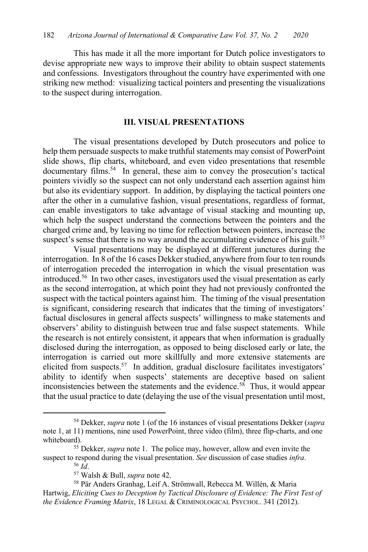This has made it all the more important for Dutch police investigators to devise appropriate new ways to improve their ability to obtain suspect statements and confessions. Investigators throughout the country have experimented with one striking new method: visualizing tactical pointers and presenting the visualizations to the suspect during interrogation.

#### **III. VISUAL PRESENTATIONS**

The visual presentations developed by Dutch prosecutors and police to help them persuade suspects to make truthful statements may consist of PowerPoint slide shows, flip charts, whiteboard, and even video presentations that resemble documentary films. <sup>54</sup> In general, these aim to convey the prosecution's tactical pointers vividly so the suspect can not only understand each assertion against him but also its evidentiary support. In addition, by displaying the tactical pointers one after the other in a cumulative fashion, visual presentations, regardless of format, can enable investigators to take advantage of visual stacking and mounting up, which help the suspect understand the connections between the pointers and the charged crime and, by leaving no time for reflection between pointers, increase the suspect's sense that there is no way around the accumulating evidence of his guilt.<sup>55</sup>

Visual presentations may be displayed at different junctures during the interrogation. In 8 of the 16 cases Dekker studied, anywhere from four to ten rounds of interrogation preceded the interrogation in which the visual presentation was introduced.56 In two other cases, investigators used the visual presentation as early as the second interrogation, at which point they had not previously confronted the suspect with the tactical pointers against him. The timing of the visual presentation is significant, considering research that indicates that the timing of investigators' factual disclosures in general affects suspects' willingness to make statements and observers' ability to distinguish between true and false suspect statements. While the research is not entirely consistent, it appears that when information is gradually disclosed during the interrogation, as opposed to being disclosed early or late, the interrogation is carried out more skillfully and more extensive statements are elicited from suspects.<sup>57</sup> In addition, gradual disclosure facilitates investigators' ability to identify when suspects' statements are deceptive based on salient inconsistencies between the statements and the evidence. 58 Thus, it would appear that the usual practice to date (delaying the use of the visual presentation until most,

<sup>54</sup> Dekker, *supra* note 1 (of the 16 instances of visual presentations Dekker (*supra*  note 1, at 11) mentions, nine used PowerPoint, three video (film), three flip-charts, and one whiteboard).

<sup>55</sup> Dekker, *supra* note 1. The police may, however, allow and even invite the suspect to respond during the visual presentation. *See* discussion of case studies *infra*. <sup>56</sup> *Id*.

<sup>57</sup> Walsh & Bull, *supra* note 42.

<sup>58</sup> Pär Anders Granhag, Leif A. Strömwall, Rebecca M. Willén, & Maria Hartwig, *Eliciting Cues to Deception by Tactical Disclosure of Evidence: The First Test of the Evidence Framing Matrix*, 18 LEGAL & CRIMINOLOGICAL PSYCHOL. 341 (2012).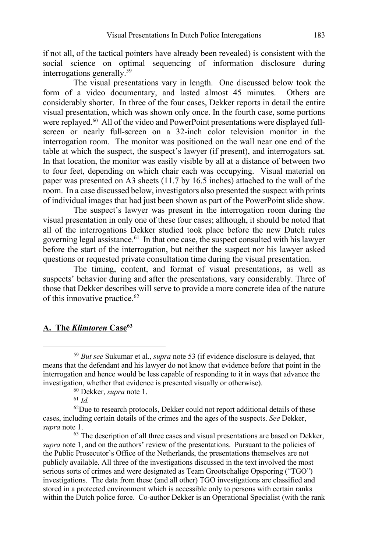if not all, of the tactical pointers have already been revealed) is consistent with the social science on optimal sequencing of information disclosure during interrogations generally.59

The visual presentations vary in length. One discussed below took the form of a video documentary, and lasted almost 45 minutes. Others are considerably shorter. In three of the four cases, Dekker reports in detail the entire visual presentation, which was shown only once. In the fourth case, some portions were replayed.<sup>60</sup> All of the video and PowerPoint presentations were displayed fullscreen or nearly full-screen on a 32-inch color television monitor in the interrogation room. The monitor was positioned on the wall near one end of the table at which the suspect, the suspect's lawyer (if present), and interrogators sat. In that location, the monitor was easily visible by all at a distance of between two to four feet, depending on which chair each was occupying. Visual material on paper was presented on A3 sheets (11.7 by 16.5 inches) attached to the wall of the room. In a case discussed below, investigators also presented the suspect with prints of individual images that had just been shown as part of the PowerPoint slide show.

The suspect's lawyer was present in the interrogation room during the visual presentation in only one of these four cases; although, it should be noted that all of the interrogations Dekker studied took place before the new Dutch rules governing legal assistance.<sup>61</sup> In that one case, the suspect consulted with his lawyer before the start of the interrogation, but neither the suspect nor his lawyer asked questions or requested private consultation time during the visual presentation.

The timing, content, and format of visual presentations, as well as suspects' behavior during and after the presentations, vary considerably. Three of those that Dekker describes will serve to provide a more concrete idea of the nature of this innovative practice.<sup>62</sup>

# **A. The** *Klimtoren* **Case63**

<sup>59</sup> *But see* Sukumar et al., *supra* note 53 (if evidence disclosure is delayed, that means that the defendant and his lawyer do not know that evidence before that point in the interrogation and hence would be less capable of responding to it in ways that advance the investigation, whether that evidence is presented visually or otherwise).

<sup>60</sup> Dekker, *supra* note 1.

<sup>61</sup> *Id.*

 $62$ Due to research protocols, Dekker could not report additional details of these cases, including certain details of the crimes and the ages of the suspects. *See* Dekker, *supra* note 1.

<sup>&</sup>lt;sup>63</sup> The description of all three cases and visual presentations are based on Dekker, *supra* note 1, and on the authors' review of the presentations. Pursuant to the policies of the Public Prosecutor's Office of the Netherlands, the presentations themselves are not publicly available. All three of the investigations discussed in the text involved the most serious sorts of crimes and were designated as Team Grootschalige Opsporing ("TGO") investigations. The data from these (and all other) TGO investigations are classified and stored in a protected environment which is accessible only to persons with certain ranks within the Dutch police force. Co-author Dekker is an Operational Specialist (with the rank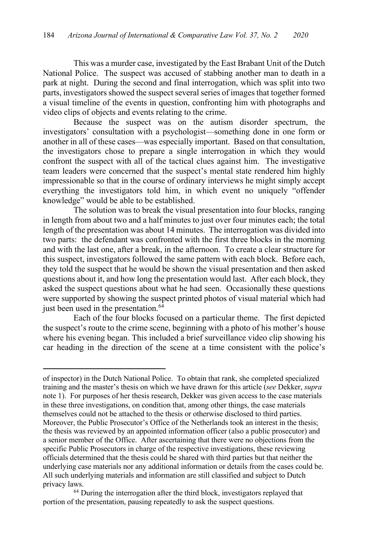This was a murder case, investigated by the East Brabant Unit of the Dutch National Police. The suspect was accused of stabbing another man to death in a park at night. During the second and final interrogation, which was split into two parts, investigators showed the suspect several series of images that together formed a visual timeline of the events in question, confronting him with photographs and video clips of objects and events relating to the crime.

Because the suspect was on the autism disorder spectrum, the investigators' consultation with a psychologist—something done in one form or another in all of these cases—was especially important. Based on that consultation, the investigators chose to prepare a single interrogation in which they would confront the suspect with all of the tactical clues against him. The investigative team leaders were concerned that the suspect's mental state rendered him highly impressionable so that in the course of ordinary interviews he might simply accept everything the investigators told him, in which event no uniquely "offender knowledge" would be able to be established.

The solution was to break the visual presentation into four blocks, ranging in length from about two and a half minutes to just over four minutes each; the total length of the presentation was about 14 minutes. The interrogation was divided into two parts: the defendant was confronted with the first three blocks in the morning and with the last one, after a break, in the afternoon. To create a clear structure for this suspect, investigators followed the same pattern with each block. Before each, they told the suspect that he would be shown the visual presentation and then asked questions about it, and how long the presentation would last. After each block, they asked the suspect questions about what he had seen. Occasionally these questions were supported by showing the suspect printed photos of visual material which had just been used in the presentation. $64$ 

Each of the four blocks focused on a particular theme. The first depicted the suspect's route to the crime scene, beginning with a photo of his mother's house where his evening began. This included a brief surveillance video clip showing his car heading in the direction of the scene at a time consistent with the police's

of inspector) in the Dutch National Police. To obtain that rank, she completed specialized training and the master's thesis on which we have drawn for this article (*see* Dekker, *supra*  note 1). For purposes of her thesis research, Dekker was given access to the case materials in these three investigations, on condition that, among other things, the case materials themselves could not be attached to the thesis or otherwise disclosed to third parties. Moreover, the Public Prosecutor's Office of the Netherlands took an interest in the thesis; the thesis was reviewed by an appointed information officer (also a public prosecutor) and a senior member of the Office. After ascertaining that there were no objections from the specific Public Prosecutors in charge of the respective investigations, these reviewing officials determined that the thesis could be shared with third parties but that neither the underlying case materials nor any additional information or details from the cases could be. All such underlying materials and information are still classified and subject to Dutch privacy laws.

<sup>&</sup>lt;sup>64</sup> During the interrogation after the third block, investigators replayed that portion of the presentation, pausing repeatedly to ask the suspect questions.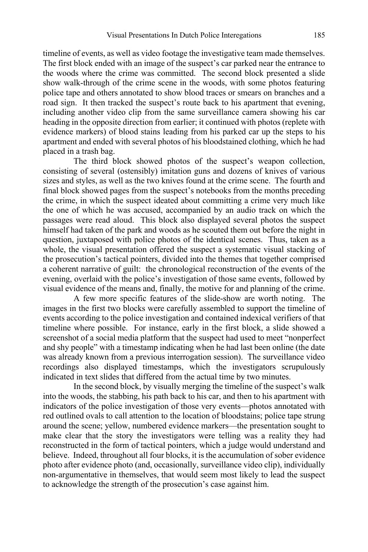timeline of events, as well as video footage the investigative team made themselves. The first block ended with an image of the suspect's car parked near the entrance to the woods where the crime was committed. The second block presented a slide show walk-through of the crime scene in the woods, with some photos featuring police tape and others annotated to show blood traces or smears on branches and a road sign. It then tracked the suspect's route back to his apartment that evening, including another video clip from the same surveillance camera showing his car heading in the opposite direction from earlier; it continued with photos (replete with evidence markers) of blood stains leading from his parked car up the steps to his apartment and ended with several photos of his bloodstained clothing, which he had placed in a trash bag.

The third block showed photos of the suspect's weapon collection, consisting of several (ostensibly) imitation guns and dozens of knives of various sizes and styles, as well as the two knives found at the crime scene. The fourth and final block showed pages from the suspect's notebooks from the months preceding the crime, in which the suspect ideated about committing a crime very much like the one of which he was accused, accompanied by an audio track on which the passages were read aloud. This block also displayed several photos the suspect himself had taken of the park and woods as he scouted them out before the night in question, juxtaposed with police photos of the identical scenes. Thus, taken as a whole, the visual presentation offered the suspect a systematic visual stacking of the prosecution's tactical pointers, divided into the themes that together comprised a coherent narrative of guilt: the chronological reconstruction of the events of the evening, overlaid with the police's investigation of those same events, followed by visual evidence of the means and, finally, the motive for and planning of the crime.

A few more specific features of the slide-show are worth noting. The images in the first two blocks were carefully assembled to support the timeline of events according to the police investigation and contained indexical verifiers of that timeline where possible. For instance, early in the first block, a slide showed a screenshot of a social media platform that the suspect had used to meet "nonperfect and shy people" with a timestamp indicating when he had last been online (the date was already known from a previous interrogation session). The surveillance video recordings also displayed timestamps, which the investigators scrupulously indicated in text slides that differed from the actual time by two minutes.

In the second block, by visually merging the timeline of the suspect's walk into the woods, the stabbing, his path back to his car, and then to his apartment with indicators of the police investigation of those very events—photos annotated with red outlined ovals to call attention to the location of bloodstains; police tape strung around the scene; yellow, numbered evidence markers—the presentation sought to make clear that the story the investigators were telling was a reality they had reconstructed in the form of tactical pointers, which a judge would understand and believe. Indeed, throughout all four blocks, it is the accumulation of sober evidence photo after evidence photo (and, occasionally, surveillance video clip), individually non-argumentative in themselves, that would seem most likely to lead the suspect to acknowledge the strength of the prosecution's case against him.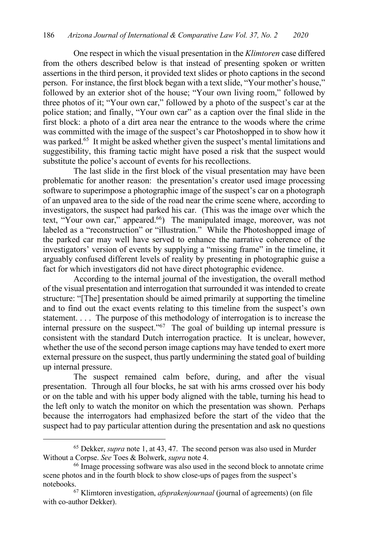One respect in which the visual presentation in the *Klimtoren* case differed from the others described below is that instead of presenting spoken or written assertions in the third person, it provided text slides or photo captions in the second person. For instance, the first block began with a text slide, "Your mother's house," followed by an exterior shot of the house; "Your own living room," followed by three photos of it; "Your own car," followed by a photo of the suspect's car at the police station; and finally, "Your own car" as a caption over the final slide in the first block: a photo of a dirt area near the entrance to the woods where the crime was committed with the image of the suspect's car Photoshopped in to show how it was parked.<sup>65</sup> It might be asked whether given the suspect's mental limitations and suggestibility, this framing tactic might have posed a risk that the suspect would substitute the police's account of events for his recollections.

The last slide in the first block of the visual presentation may have been problematic for another reason: the presentation's creator used image processing software to superimpose a photographic image of the suspect's car on a photograph of an unpaved area to the side of the road near the crime scene where, according to investigators, the suspect had parked his car. (This was the image over which the text, "Your own car," appeared.<sup>66</sup>) The manipulated image, moreover, was not labeled as a "reconstruction" or "illustration." While the Photoshopped image of the parked car may well have served to enhance the narrative coherence of the investigators' version of events by supplying a "missing frame" in the timeline, it arguably confused different levels of reality by presenting in photographic guise a fact for which investigators did not have direct photographic evidence.

According to the internal journal of the investigation, the overall method of the visual presentation and interrogation that surrounded it was intended to create structure: "[The] presentation should be aimed primarily at supporting the timeline and to find out the exact events relating to this timeline from the suspect's own statement. . . . The purpose of this methodology of interrogation is to increase the internal pressure on the suspect."67 The goal of building up internal pressure is consistent with the standard Dutch interrogation practice. It is unclear, however, whether the use of the second person image captions may have tended to exert more external pressure on the suspect, thus partly undermining the stated goal of building up internal pressure.

The suspect remained calm before, during, and after the visual presentation. Through all four blocks, he sat with his arms crossed over his body or on the table and with his upper body aligned with the table, turning his head to the left only to watch the monitor on which the presentation was shown. Perhaps because the interrogators had emphasized before the start of the video that the suspect had to pay particular attention during the presentation and ask no questions

<sup>65</sup> Dekker, *supra* note 1, at 43, 47. The second person was also used in Murder Without a Corpse. *See* Toes & Bolwerk, *supra* note 4.<br><sup>66</sup> Image processing software was also used in the second block to annotate crime

scene photos and in the fourth block to show close-ups of pages from the suspect's

notebooks.<br><sup>67</sup> Klimtoren investigation, *afsprakenjournaal* (journal of agreements) (on file with co-author Dekker).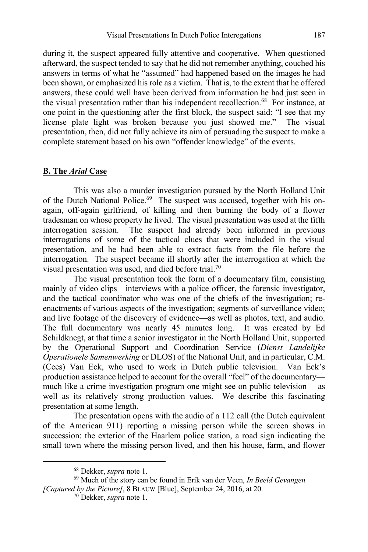during it, the suspect appeared fully attentive and cooperative. When questioned afterward, the suspect tended to say that he did not remember anything, couched his answers in terms of what he "assumed" had happened based on the images he had been shown, or emphasized his role as a victim. That is, to the extent that he offered answers, these could well have been derived from information he had just seen in the visual presentation rather than his independent recollection.<sup>68</sup> For instance, at one point in the questioning after the first block, the suspect said: "I see that my license plate light was broken because you just showed me." The visual presentation, then, did not fully achieve its aim of persuading the suspect to make a complete statement based on his own "offender knowledge" of the events.

### **B. The** *Arial* **Case**

This was also a murder investigation pursued by the North Holland Unit of the Dutch National Police.<sup>69</sup> The suspect was accused, together with his onagain, off-again girlfriend, of killing and then burning the body of a flower tradesman on whose property he lived. The visual presentation was used at the fifth interrogation session. The suspect had already been informed in previous interrogations of some of the tactical clues that were included in the visual presentation, and he had been able to extract facts from the file before the interrogation. The suspect became ill shortly after the interrogation at which the visual presentation was used, and died before trial.70

The visual presentation took the form of a documentary film, consisting mainly of video clips—interviews with a police officer, the forensic investigator, and the tactical coordinator who was one of the chiefs of the investigation; reenactments of various aspects of the investigation; segments of surveillance video; and live footage of the discovery of evidence—as well as photos, text, and audio. The full documentary was nearly 45 minutes long. It was created by Ed Schildknegt, at that time a senior investigator in the North Holland Unit, supported by the Operational Support and Coordination Service (*Dienst Landelijke Operationele Samenwerking* or DLOS) of the National Unit, and in particular, C.M. (Cees) Van Eck, who used to work in Dutch public television. Van Eck's production assistance helped to account for the overall "feel" of the documentary much like a crime investigation program one might see on public television —as well as its relatively strong production values. We describe this fascinating presentation at some length.

The presentation opens with the audio of a 112 call (the Dutch equivalent of the American 911) reporting a missing person while the screen shows in succession: the exterior of the Haarlem police station, a road sign indicating the small town where the missing person lived, and then his house, farm, and flower

<sup>68</sup> Dekker, *supra* note 1.

<sup>69</sup> Much of the story can be found in Erik van der Veen, *In Beeld Gevangen [Captured by the Picture]*, 8 BLAUW [Blue], September 24, 2016, at 20.

<sup>70</sup> Dekker, *supra* note 1.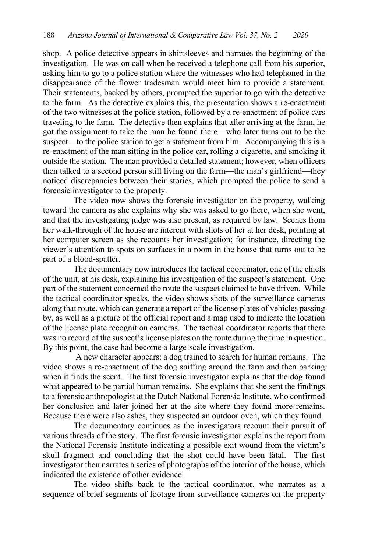shop. A police detective appears in shirtsleeves and narrates the beginning of the investigation. He was on call when he received a telephone call from his superior, asking him to go to a police station where the witnesses who had telephoned in the disappearance of the flower tradesman would meet him to provide a statement. Their statements, backed by others, prompted the superior to go with the detective to the farm. As the detective explains this, the presentation shows a re-enactment of the two witnesses at the police station, followed by a re-enactment of police cars traveling to the farm. The detective then explains that after arriving at the farm, he got the assignment to take the man he found there—who later turns out to be the suspect—to the police station to get a statement from him. Accompanying this is a re-enactment of the man sitting in the police car, rolling a cigarette, and smoking it outside the station. The man provided a detailed statement; however, when officers then talked to a second person still living on the farm—the man's girlfriend—they noticed discrepancies between their stories, which prompted the police to send a forensic investigator to the property.

The video now shows the forensic investigator on the property, walking toward the camera as she explains why she was asked to go there, when she went, and that the investigating judge was also present, as required by law. Scenes from her walk-through of the house are intercut with shots of her at her desk, pointing at her computer screen as she recounts her investigation; for instance, directing the viewer's attention to spots on surfaces in a room in the house that turns out to be part of a blood-spatter.

The documentary now introduces the tactical coordinator, one of the chiefs of the unit, at his desk, explaining his investigation of the suspect's statement. One part of the statement concerned the route the suspect claimed to have driven. While the tactical coordinator speaks, the video shows shots of the surveillance cameras along that route, which can generate a report of the license plates of vehicles passing by, as well as a picture of the official report and a map used to indicate the location of the license plate recognition cameras. The tactical coordinator reports that there was no record of the suspect's license plates on the route during the time in question. By this point, the case had become a large-scale investigation.

A new character appears: a dog trained to search for human remains. The video shows a re-enactment of the dog sniffing around the farm and then barking when it finds the scent. The first forensic investigator explains that the dog found what appeared to be partial human remains. She explains that she sent the findings to a forensic anthropologist at the Dutch National Forensic Institute, who confirmed her conclusion and later joined her at the site where they found more remains. Because there were also ashes, they suspected an outdoor oven, which they found.

The documentary continues as the investigators recount their pursuit of various threads of the story. The first forensic investigator explains the report from the National Forensic Institute indicating a possible exit wound from the victim's skull fragment and concluding that the shot could have been fatal. The first investigator then narrates a series of photographs of the interior of the house, which indicated the existence of other evidence.

The video shifts back to the tactical coordinator, who narrates as a sequence of brief segments of footage from surveillance cameras on the property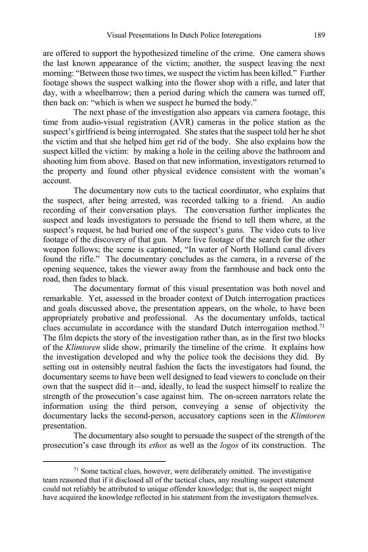are offered to support the hypothesized timeline of the crime. One camera shows the last known appearance of the victim; another, the suspect leaving the next morning: "Between those two times, we suspect the victim has been killed." Further footage shows the suspect walking into the flower shop with a rifle, and later that day, with a wheelbarrow; then a period during which the camera was turned off, then back on: "which is when we suspect he burned the body."

The next phase of the investigation also appears via camera footage, this time from audio-visual registration (AVR) cameras in the police station as the suspect's girlfriend is being interrogated. She states that the suspect told her he shot the victim and that she helped him get rid of the body. She also explains how the suspect killed the victim: by making a hole in the ceiling above the bathroom and shooting him from above. Based on that new information, investigators returned to the property and found other physical evidence consistent with the woman's account.

The documentary now cuts to the tactical coordinator, who explains that the suspect, after being arrested, was recorded talking to a friend. An audio recording of their conversation plays. The conversation further implicates the suspect and leads investigators to persuade the friend to tell them where, at the suspect's request, he had buried one of the suspect's guns. The video cuts to live footage of the discovery of that gun. More live footage of the search for the other weapon follows; the scene is captioned, "In water of North Holland canal divers found the rifle." The documentary concludes as the camera, in a reverse of the opening sequence, takes the viewer away from the farmhouse and back onto the road, then fades to black.

The documentary format of this visual presentation was both novel and remarkable. Yet, assessed in the broader context of Dutch interrogation practices and goals discussed above, the presentation appears, on the whole, to have been appropriately probative and professional. As the documentary unfolds, tactical clues accumulate in accordance with the standard Dutch interrogation method.<sup>71</sup> The film depicts the story of the investigation rather than, as in the first two blocks of the *Klimtoren* slide show, primarily the timeline of the crime. It explains how the investigation developed and why the police took the decisions they did. By setting out in ostensibly neutral fashion the facts the investigators had found, the documentary seems to have been well designed to lead viewers to conclude on their own that the suspect did it—and, ideally, to lead the suspect himself to realize the strength of the prosecution's case against him. The on-screen narrators relate the information using the third person, conveying a sense of objectivity the documentary lacks the second-person, accusatory captions seen in the *Klimtoren* presentation.

The documentary also sought to persuade the suspect of the strength of the prosecution's case through its *ethos* as well as the *logos* of its construction. The

 $71$  Some tactical clues, however, were deliberately omitted. The investigative team reasoned that if it disclosed all of the tactical clues, any resulting suspect statement could not reliably be attributed to unique offender knowledge; that is, the suspect might have acquired the knowledge reflected in his statement from the investigators themselves.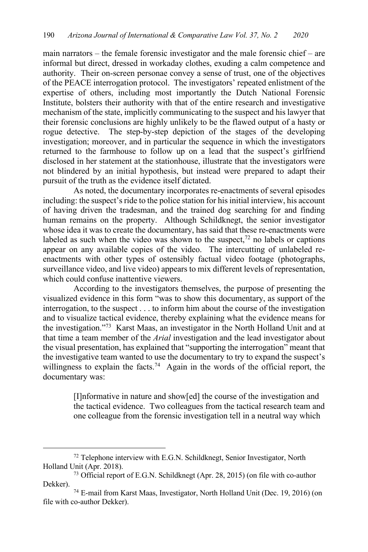main narrators – the female forensic investigator and the male forensic chief – are informal but direct, dressed in workaday clothes, exuding a calm competence and authority. Their on-screen personae convey a sense of trust, one of the objectives of the PEACE interrogation protocol. The investigators' repeated enlistment of the expertise of others, including most importantly the Dutch National Forensic Institute, bolsters their authority with that of the entire research and investigative mechanism of the state, implicitly communicating to the suspect and his lawyer that their forensic conclusions are highly unlikely to be the flawed output of a hasty or rogue detective. The step-by-step depiction of the stages of the developing investigation; moreover, and in particular the sequence in which the investigators returned to the farmhouse to follow up on a lead that the suspect's girlfriend disclosed in her statement at the stationhouse, illustrate that the investigators were not blindered by an initial hypothesis, but instead were prepared to adapt their pursuit of the truth as the evidence itself dictated.

As noted, the documentary incorporates re-enactments of several episodes including: the suspect's ride to the police station for his initial interview, his account of having driven the tradesman, and the trained dog searching for and finding human remains on the property. Although Schildknegt, the senior investigator whose idea it was to create the documentary, has said that these re-enactments were labeled as such when the video was shown to the suspect,<sup>72</sup> no labels or captions appear on any available copies of the video. The intercutting of unlabeled reenactments with other types of ostensibly factual video footage (photographs, surveillance video, and live video) appears to mix different levels of representation, which could confuse inattentive viewers.

According to the investigators themselves, the purpose of presenting the visualized evidence in this form "was to show this documentary, as support of the interrogation, to the suspect . . . to inform him about the course of the investigation and to visualize tactical evidence, thereby explaining what the evidence means for the investigation."73 Karst Maas, an investigator in the North Holland Unit and at that time a team member of the *Arial* investigation and the lead investigator about the visual presentation, has explained that "supporting the interrogation" meant that the investigative team wanted to use the documentary to try to expand the suspect's willingness to explain the facts.<sup>74</sup> Again in the words of the official report, the documentary was:

> [I]nformative in nature and show[ed] the course of the investigation and the tactical evidence. Two colleagues from the tactical research team and one colleague from the forensic investigation tell in a neutral way which

<sup>&</sup>lt;sup>72</sup> Telephone interview with E.G.N. Schildknegt, Senior Investigator, North Holland Unit (Apr. 2018).

<sup>73</sup> Official report of E.G.N. Schildknegt (Apr. 28, 2015) (on file with co-author Dekker).

<sup>74</sup> E-mail from Karst Maas, Investigator, North Holland Unit (Dec. 19, 2016) (on file with co-author Dekker).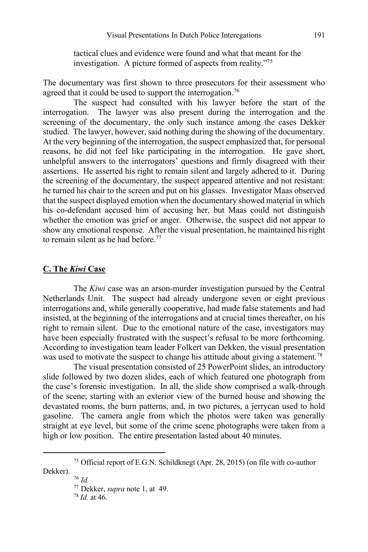tactical clues and evidence were found and what that meant for the investigation. A picture formed of aspects from reality."75

The documentary was first shown to three prosecutors for their assessment who agreed that it could be used to support the interrogation.<sup>76</sup>

The suspect had consulted with his lawyer before the start of the interrogation. The lawyer was also present during the interrogation and the screening of the documentary, the only such instance among the cases Dekker studied. The lawyer, however, said nothing during the showing of the documentary. At the very beginning of the interrogation, the suspect emphasized that, for personal reasons, he did not feel like participating in the interrogation. He gave short, unhelpful answers to the interrogators' questions and firmly disagreed with their assertions. He asserted his right to remain silent and largely adhered to it. During the screening of the documentary, the suspect appeared attentive and not resistant: he turned his chair to the screen and put on his glasses. Investigator Maas observed that the suspect displayed emotion when the documentary showed material in which his co-defendant accused him of accusing her, but Maas could not distinguish whether the emotion was grief or anger. Otherwise, the suspect did not appear to show any emotional response. After the visual presentation, he maintained his right to remain silent as he had before. $77$ 

#### **C. The** *Kiwi* **Case**

The *Kiwi* case was an arson-murder investigation pursued by the Central Netherlands Unit. The suspect had already undergone seven or eight previous interrogations and, while generally cooperative, had made false statements and had insisted, at the beginning of the interrogations and at crucial times thereafter, on his right to remain silent. Due to the emotional nature of the case, investigators may have been especially frustrated with the suspect's refusal to be more forthcoming. According to investigation team leader Folkert van Dekken, the visual presentation was used to motivate the suspect to change his attitude about giving a statement.<sup>78</sup>

The visual presentation consisted of 25 PowerPoint slides, an introductory slide followed by two dozen slides, each of which featured one photograph from the case's forensic investigation. In all, the slide show comprised a walk-through of the scene; starting with an exterior view of the burned house and showing the devastated rooms, the burn patterns, and, in two pictures, a jerrycan used to hold gasoline. The camera angle from which the photos were taken was generally straight at eye level, but some of the crime scene photographs were taken from a high or low position. The entire presentation lasted about 40 minutes.

<sup>75</sup> Official report of E.G.N. Schildknegt (Apr. 28, 2015) (on file with co-author Dekker). 76 *Id.*

<sup>77</sup> Dekker, *supra* note 1, at 49. 78 *Id.* at 46.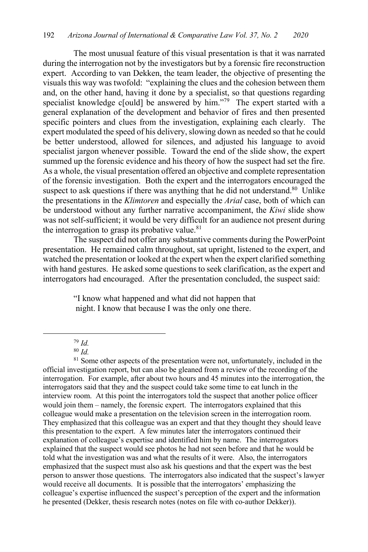The most unusual feature of this visual presentation is that it was narrated during the interrogation not by the investigators but by a forensic fire reconstruction expert. According to van Dekken, the team leader, the objective of presenting the visuals this way was twofold: "explaining the clues and the cohesion between them and, on the other hand, having it done by a specialist, so that questions regarding specialist knowledge c[ould] be answered by him."79 The expert started with a general explanation of the development and behavior of fires and then presented specific pointers and clues from the investigation, explaining each clearly. The expert modulated the speed of his delivery, slowing down as needed so that he could be better understood, allowed for silences, and adjusted his language to avoid specialist jargon whenever possible. Toward the end of the slide show, the expert summed up the forensic evidence and his theory of how the suspect had set the fire. As a whole, the visual presentation offered an objective and complete representation of the forensic investigation. Both the expert and the interrogators encouraged the suspect to ask questions if there was anything that he did not understand.<sup>80</sup> Unlike the presentations in the *Klimtoren* and especially the *Arial* case, both of which can be understood without any further narrative accompaniment, the *Kiwi* slide show was not self-sufficient; it would be very difficult for an audience not present during the interrogation to grasp its probative value. $81$ 

The suspect did not offer any substantive comments during the PowerPoint presentation. He remained calm throughout, sat upright, listened to the expert, and watched the presentation or looked at the expert when the expert clarified something with hand gestures. He asked some questions to seek clarification, as the expert and interrogators had encouraged. After the presentation concluded, the suspect said:

> "I know what happened and what did not happen that night. I know that because I was the only one there.

<sup>80</sup> *Id.*

<sup>81</sup> Some other aspects of the presentation were not, unfortunately, included in the official investigation report, but can also be gleaned from a review of the recording of the interrogation. For example, after about two hours and 45 minutes into the interrogation, the interrogators said that they and the suspect could take some time to eat lunch in the interview room. At this point the interrogators told the suspect that another police officer would join them – namely, the forensic expert. The interrogators explained that this colleague would make a presentation on the television screen in the interrogation room. They emphasized that this colleague was an expert and that they thought they should leave this presentation to the expert. A few minutes later the interrogators continued their explanation of colleague's expertise and identified him by name. The interrogators explained that the suspect would see photos he had not seen before and that he would be told what the investigation was and what the results of it were. Also, the interrogators emphasized that the suspect must also ask his questions and that the expert was the best person to answer those questions. The interrogators also indicated that the suspect's lawyer would receive all documents. It is possible that the interrogators' emphasizing the colleague's expertise influenced the suspect's perception of the expert and the information he presented (Dekker, thesis research notes (notes on file with co-author Dekker)).

<sup>79</sup> *Id.*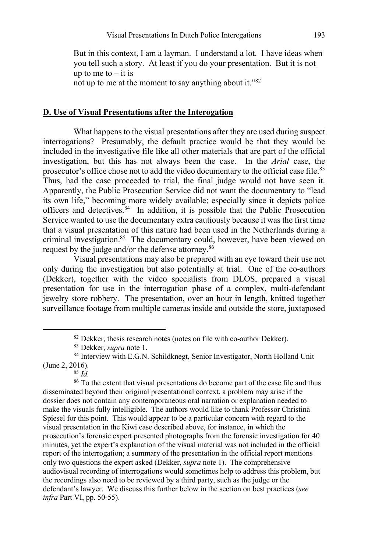But in this context, I am a layman. I understand a lot. I have ideas when you tell such a story. At least if you do your presentation. But it is not up to me to  $-$  it is not up to me at the moment to say anything about it."82

#### **D. Use of Visual Presentations after the Interogation**

What happens to the visual presentations after they are used during suspect interrogations? Presumably, the default practice would be that they would be included in the investigative file like all other materials that are part of the official investigation, but this has not always been the case. In the *Arial* case, the prosecutor's office chose not to add the video documentary to the official case file.<sup>83</sup> Thus, had the case proceeded to trial, the final judge would not have seen it. Apparently, the Public Prosecution Service did not want the documentary to "lead its own life," becoming more widely available; especially since it depicts police officers and detectives.<sup>84</sup> In addition, it is possible that the Public Prosecution Service wanted to use the documentary extra cautiously because it was the first time that a visual presentation of this nature had been used in the Netherlands during a criminal investigation.<sup>85</sup> The documentary could, however, have been viewed on request by the judge and/or the defense attorney.86

Visual presentations may also be prepared with an eye toward their use not only during the investigation but also potentially at trial. One of the co-authors (Dekker), together with the video specialists from DLOS, prepared a visual presentation for use in the interrogation phase of a complex, multi-defendant jewelry store robbery. The presentation, over an hour in length, knitted together surveillance footage from multiple cameras inside and outside the store, juxtaposed

<sup>86</sup> To the extent that visual presentations do become part of the case file and thus disseminated beyond their original presentational context, a problem may arise if the dossier does not contain any contemporaneous oral narration or explanation needed to make the visuals fully intelligible. The authors would like to thank Professor Christina Spiesel for this point. This would appear to be a particular concern with regard to the visual presentation in the Kiwi case described above, for instance, in which the prosecution's forensic expert presented photographs from the forensic investigation for 40 minutes, yet the expert's explanation of the visual material was not included in the official report of the interrogation; a summary of the presentation in the official report mentions only two questions the expert asked (Dekker, *supra* note 1). The comprehensive audiovisual recording of interrogations would sometimes help to address this problem, but the recordings also need to be reviewed by a third party, such as the judge or the defendant's lawyer. We discuss this further below in the section on best practices (*see infra* Part VI, pp. 50-55).

<sup>82</sup> Dekker, thesis research notes (notes on file with co-author Dekker). 83 Dekker, *supra* note 1.

<sup>84</sup> Interview with E.G.N. Schildknegt, Senior Investigator, North Holland Unit (June 2, 2016).

<sup>85</sup> *Id.*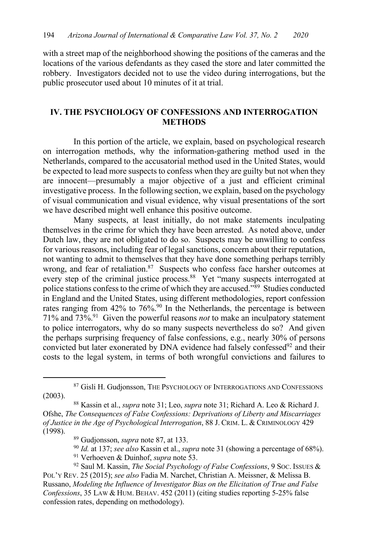with a street map of the neighborhood showing the positions of the cameras and the locations of the various defendants as they cased the store and later committed the robbery. Investigators decided not to use the video during interrogations, but the public prosecutor used about 10 minutes of it at trial.

### **IV. THE PSYCHOLOGY OF CONFESSIONS AND INTERROGATION METHODS**

In this portion of the article, we explain, based on psychological research on interrogation methods, why the information-gathering method used in the Netherlands, compared to the accusatorial method used in the United States, would be expected to lead more suspects to confess when they are guilty but not when they are innocent—presumably a major objective of a just and efficient criminal investigative process. In the following section, we explain, based on the psychology of visual communication and visual evidence, why visual presentations of the sort we have described might well enhance this positive outcome.

Many suspects, at least initially, do not make statements inculpating themselves in the crime for which they have been arrested. As noted above, under Dutch law, they are not obligated to do so. Suspects may be unwilling to confess for various reasons, including fear of legal sanctions, concern about their reputation, not wanting to admit to themselves that they have done something perhaps terribly wrong, and fear of retaliation.<sup>87</sup> Suspects who confess face harsher outcomes at every step of the criminal justice process.<sup>88</sup> Yet "many suspects interrogated at police stations confess to the crime of which they are accused."89 Studies conducted in England and the United States, using different methodologies, report confession rates ranging from 42% to 76%.<sup>90</sup> In the Netherlands, the percentage is between 71% and 73%.91 Given the powerful reasons *not* to make an inculpatory statement to police interrogators, why do so many suspects nevertheless do so? And given the perhaps surprising frequency of false confessions, e.g., nearly 30% of persons convicted but later exonerated by DNA evidence had falsely confessed<sup>92</sup> and their costs to the legal system, in terms of both wrongful convictions and failures to

<sup>&</sup>lt;sup>87</sup> Gisli H. Gudjonsson, THE PSYCHOLOGY OF INTERROGATIONS AND CONFESSIONS (2003).

<sup>88</sup> Kassin et al., *supra* note 31; Leo, *supra* note 31; Richard A. Leo & Richard J. Ofshe, *The Consequences of False Confessions: Deprivations of Liberty and Miscarriages of Justice in the Age of Psychological Interrogation*, 88 J. CRIM. L. & CRIMINOLOGY 429 (1998).

<sup>89</sup> Gudjonsson, *supra* note 87, at 133.

<sup>90</sup> *Id.* at 137; *see also* Kassin et al., *supra* note 31 (showing a percentage of 68%). <sup>91</sup> Verhoeven & Duinhof, *supra* note 53.

<sup>92</sup> Saul M. Kassin, *The Social Psychology of False Confessions*, 9 SOC. ISSUES & POL'Y REV. 25 (2015); *see also* Fadia M. Narchet, Christian A. Meissner, & Melissa B. Russano, *Modeling the Influence of Investigator Bias on the Elicitation of True and False Confessions*, 35 LAW & HUM. BEHAV. 452 (2011) (citing studies reporting 5-25% false confession rates, depending on methodology).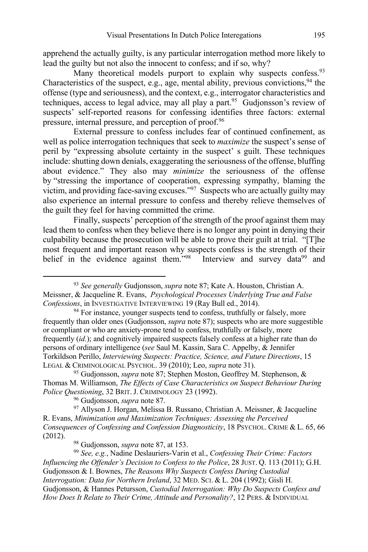apprehend the actually guilty, is any particular interrogation method more likely to lead the guilty but not also the innocent to confess; and if so, why?

Many theoretical models purport to explain why suspects confess.<sup>93</sup> Characteristics of the suspect, e.g., age, mental ability, previous convictions,  $94$  the offense (type and seriousness), and the context, e.g., interrogator characteristics and techniques, access to legal advice, may all play a part.<sup>95</sup> Gudjonsson's review of suspects' self-reported reasons for confessing identifies three factors: external pressure, internal pressure, and perception of proof.<sup>96</sup>

External pressure to confess includes fear of continued confinement, as well as police interrogation techniques that seek to *maximize* the suspect's sense of peril by "expressing absolute certainty in the suspect' s guilt. These techniques include: shutting down denials, exaggerating the seriousness of the offense, bluffing about evidence." They also may *minimize* the seriousness of the offense by "stressing the importance of cooperation, expressing sympathy, blaming the victim, and providing face-saving excuses."97 Suspects who are actually guilty may also experience an internal pressure to confess and thereby relieve themselves of the guilt they feel for having committed the crime.

Finally, suspects' perception of the strength of the proof against them may lead them to confess when they believe there is no longer any point in denying their culpability because the prosecution will be able to prove their guilt at trial. "[T]he most frequent and important reason why suspects confess is the strength of their belief in the evidence against them."<sup>98</sup> Interview and survey data<sup>99</sup> and

<sup>95</sup> Gudjonsson, *supra* note 87; Stephen Moston, Geoffrey M. Stephenson, & Thomas M. Williamson, *The Effects of Case Characteristics on Suspect Behaviour During Police Questioning*, 32 BRIT.J. CRIMINOLOGY 23 (1992).

<sup>96</sup> Gudjonsson, *supra* note 87.

97 Allyson J. Horgan, Melissa B. Russano, Christian A. Meissner, & Jacqueline R. Evans, *Minimization and Maximization Techniques: Assessing the Perceived Consequences of Confessing and Confession Diagnosticity*, 18 PSYCHOL. CRIME & L. 65, 66 (2012).

<sup>98</sup> Gudjonsson, *supra* note 87, at 153.

<sup>99</sup> *See, e.g.*, Nadine Deslauriers-Varin et al., *Confessing Their Crime: Factors Influencing the Offender's Decision to Confess to the Police*, 28 JUST. Q. 113 (2011); G.H. Gudjonsson & I. Bownes, *The Reasons Why Suspects Confess During Custodial Interrogation: Data for Northern Ireland*, 32 MED. SCI. & L. 204 (1992); Gisli H. Gudjonsson, & Hannes Petursson, *Custodial Interrogation: Why Do Suspects Confess and How Does It Relate to Their Crime, Attitude and Personality?*, 12 PERS. & INDIVIDUAL

<sup>93</sup> *See generally* Gudjonsson, *supra* note 87; Kate A. Houston, Christian A. Meissner, & Jacqueline R. Evans, *Psychological Processes Underlying True and False Confessions*, in INVESTIGATIVE INTERVIEWING 19 (Ray Bull ed., 2014).

<sup>&</sup>lt;sup>94</sup> For instance, younger suspects tend to confess, truthfully or falsely, more frequently than older ones (Gudjonsson, *supra* note 87); suspects who are more suggestible or compliant or who are anxiety-prone tend to confess, truthfully or falsely, more frequently (*id.*); and cognitively impaired suspects falsely confess at a higher rate than do persons of ordinary intelligence (*see* Saul M. Kassin, Sara C. Appelby, & Jennifer Torkildson Perillo, *Interviewing Suspects: Practice, Science, and Future Directions*, 15 LEGAL & CRIMINOLOGICAL PSYCHOL. 39 (2010); Leo, *supra* note 31).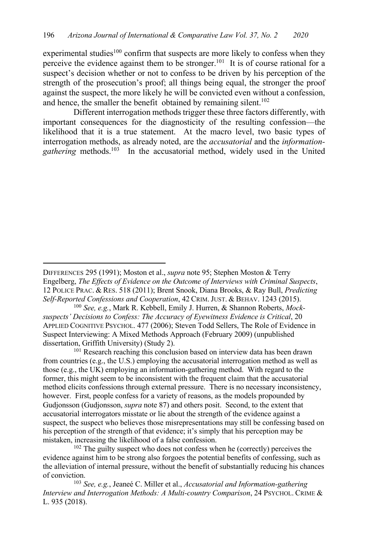experimental studies<sup>100</sup> confirm that suspects are more likely to confess when they perceive the evidence against them to be stronger.<sup>101</sup> It is of course rational for a suspect's decision whether or not to confess to be driven by his perception of the strength of the prosecution's proof; all things being equal, the stronger the proof against the suspect, the more likely he will be convicted even without a confession, and hence, the smaller the benefit obtained by remaining silent. $102$ 

Different interrogation methods trigger these three factors differently, with important consequences for the diagnosticity of the resulting confession—the likelihood that it is a true statement. At the macro level, two basic types of interrogation methods, as already noted, are the *accusatorial* and the *information*gathering methods.<sup>103</sup> In the accusatorial method, widely used in the United

DIFFERENCES 295 (1991); Moston et al., *supra* note 95; Stephen Moston & Terry Engelberg, *The Effects of Evidence on the Outcome of Interviews with Criminal Suspects*, 12 POLICE PRAC. & RES. 518 (2011); Brent Snook, Diana Brooks, & Ray Bull, *Predicting Self-Reported Confessions and Cooperation*, 42 CRIM.JUST. & BEHAV. 1243 (2015).

<sup>100</sup> *See, e.g.*, Mark R. Kebbell, Emily J. Hurren, & Shannon Roberts, *Mocksuspects' Decisions to Confess: The Accuracy of Eyewitness Evidence is Critical*, 20 APPLIED COGNITIVE PSYCHOL. 477 (2006); Steven Todd Sellers, The Role of Evidence in Suspect Interviewing: A Mixed Methods Approach (February 2009) (unpublished dissertation, Griffith University) (Study 2).

<sup>&</sup>lt;sup>101</sup> Research reaching this conclusion based on interview data has been drawn from countries (e.g., the U.S.) employing the accusatorial interrogation method as well as those (e.g., the UK) employing an information-gathering method. With regard to the former, this might seem to be inconsistent with the frequent claim that the accusatorial method elicits confessions through external pressure. There is no necessary inconsistency, however. First, people confess for a variety of reasons, as the models propounded by Gudjonsson (Gudjonsson, *supra* note 87) and others posit. Second, to the extent that accusatorial interrogators misstate or lie about the strength of the evidence against a suspect, the suspect who believes those misrepresentations may still be confessing based on his perception of the strength of that evidence; it's simply that his perception may be mistaken, increasing the likelihood of a false confession.

<sup>&</sup>lt;sup>102</sup> The guilty suspect who does not confess when he (correctly) perceives the evidence against him to be strong also forgoes the potential benefits of confessing, such as the alleviation of internal pressure, without the benefit of substantially reducing his chances of conviction.

<sup>103</sup> *See, e.g.*, Jeaneé C. Miller et al., *Accusatorial and Information-gathering Interview and Interrogation Methods: A Multi-country Comparison*, 24 PSYCHOL. CRIME & L. 935 (2018).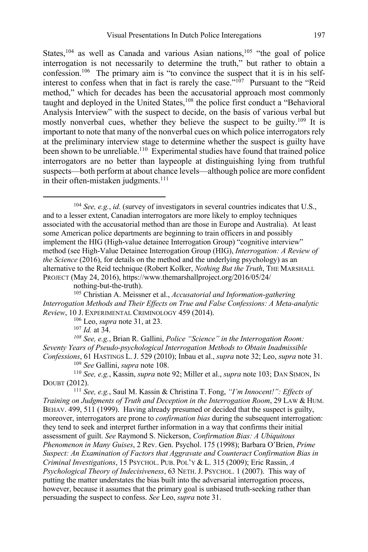States,<sup>104</sup> as well as Canada and various Asian nations,<sup>105</sup> "the goal of police interrogation is not necessarily to determine the truth," but rather to obtain a confession.106 The primary aim is "to convince the suspect that it is in his selfinterest to confess when that in fact is rarely the case."<sup>107</sup> Pursuant to the "Reid method," which for decades has been the accusatorial approach most commonly taught and deployed in the United States,<sup>108</sup> the police first conduct a "Behavioral Analysis Interview" with the suspect to decide, on the basis of various verbal but mostly nonverbal cues, whether they believe the suspect to be guilty.<sup>109</sup> It is important to note that many of the nonverbal cues on which police interrogators rely at the preliminary interview stage to determine whether the suspect is guilty have been shown to be unreliable.<sup>110</sup> Experimental studies have found that trained police interrogators are no better than laypeople at distinguishing lying from truthful suspects—both perform at about chance levels—although police are more confident in their often-mistaken judgments. $111$ 

<sup>104</sup> *See, e.g.*, *id.* (survey of investigators in several countries indicates that U.S., and to a lesser extent, Canadian interrogators are more likely to employ techniques associated with the accusatorial method than are those in Europe and Australia). At least some American police departments are beginning to train officers in and possibly implement the HIG (High-value detainee Interrogation Group) "cognitive interview" method (see High-Value Detainee Interrogation Group (HIG), *Interrogation: A Review of the Science* (2016), for details on the method and the underlying psychology) as an alternative to the Reid technique (Robert Kolker, *Nothing But the Truth*, THE MARSHALL PROJECT (May 24, 2016), https://www.themarshallproject.org/2016/05/24/

nothing-but-the-truth).

<sup>105</sup> Christian A. Meissner et al., *Accusatorial and Information-gathering Interrogation Methods and Their Effects on True and False Confessions: A Meta-analytic Review*, 10 J. EXPERIMENTAL CRIMINOLOGY 459 (2014).

<sup>106</sup> Leo, *supra* note 31, at 23.

<sup>107</sup> *Id.* at 34.

*<sup>108</sup> See, e.g.*, Brian R. Gallini, *Police "Science" in the Interrogation Room: Seventy Years of Pseudo-psychological Interrogation Methods to Obtain Inadmissible Confessions*, 61 HASTINGS L.J. 529 (2010); Inbau et al., *supra* note 32; Leo, *supra* note 31.

<sup>109</sup> *See* Gallini, *supra* note 108.

<sup>110</sup> *See, e.g.*, Kassin, *supra* note 92; Miller et al., *supra* note 103; DAN SIMON, IN DOUBT (2012).

<sup>111</sup> *See, e.g.*, Saul M. Kassin & Christina T. Fong, *"I'm Innocent!": Effects of Training on Judgments of Truth and Deception in the Interrogation Room*, 29 LAW & HUM. BEHAV. 499, 511 (1999). Having already presumed or decided that the suspect is guilty, moreover, interrogators are prone to *confirmation bias* during the subsequent interrogation: they tend to seek and interpret further information in a way that confirms their initial assessment of guilt. *See* Raymond S. Nickerson, *Confirmation Bias: A Ubiquitous Phenomenon in Many Guises*, 2 Rev. Gen. Psychol. 175 (1998); Barbara O'Brien, *Prime Suspect: An Examination of Factors that Aggravate and Counteract Confirmation Bias in Criminal Investigations*, 15 PSYCHOL. PUB. POL'Y & L. 315 (2009); Eric Rassin, *A Psychological Theory of Indecisiveness*, 63 NETH.J. PSYCHOL. 1 (2007). This way of putting the matter understates the bias built into the adversarial interrogation process, however, because it assumes that the primary goal is unbiased truth-seeking rather than persuading the suspect to confess. *See* Leo, *supra* note 31.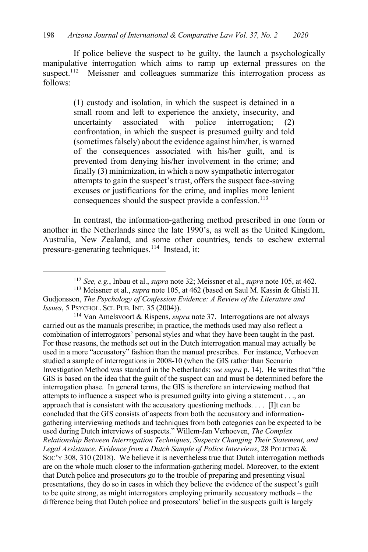If police believe the suspect to be guilty, the launch a psychologically manipulative interrogation which aims to ramp up external pressures on the suspect.<sup>112</sup> Meissner and colleagues summarize this interrogation process as follows:

> (1) custody and isolation, in which the suspect is detained in a small room and left to experience the anxiety, insecurity, and uncertainty associated with police interrogation; (2) confrontation, in which the suspect is presumed guilty and told (sometimes falsely) about the evidence against him/her, is warned of the consequences associated with his/her guilt, and is prevented from denying his/her involvement in the crime; and finally (3) minimization, in which a now sympathetic interrogator attempts to gain the suspect's trust, offers the suspect face-saving excuses or justifications for the crime, and implies more lenient consequences should the suspect provide a confession.<sup>113</sup>

In contrast, the information-gathering method prescribed in one form or another in the Netherlands since the late 1990's, as well as the United Kingdom, Australia, New Zealand, and some other countries, tends to eschew external pressure-generating techniques.114 Instead, it:

<sup>114</sup> Van Amelsvoort & Rispens, *supra* note 37. Interrogations are not always carried out as the manuals prescribe; in practice, the methods used may also reflect a combination of interrogators' personal styles and what they have been taught in the past. For these reasons, the methods set out in the Dutch interrogation manual may actually be used in a more "accusatory" fashion than the manual prescribes. For instance, Verhoeven studied a sample of interrogations in 2008-10 (when the GIS rather than Scenario Investigation Method was standard in the Netherlands; *see supra* p. 14). He writes that "the GIS is based on the idea that the guilt of the suspect can and must be determined before the interrogation phase. In general terms, the GIS is therefore an interviewing method that attempts to influence a suspect who is presumed guilty into giving a statement . . ., an approach that is consistent with the accusatory questioning methods. . . . [I]t can be concluded that the GIS consists of aspects from both the accusatory and informationgathering interviewing methods and techniques from both categories can be expected to be used during Dutch interviews of suspects." Willem-Jan Verhoeven, *The Complex Relationship Between Interrogation Techniques, Suspects Changing Their Statement, and Legal Assistance. Evidence from a Dutch Sample of Police Interviews*, 28 POLICING & SOC'Y 308, 310 (2018). We believe it is nevertheless true that Dutch interrogation methods are on the whole much closer to the information-gathering model. Moreover, to the extent that Dutch police and prosecutors go to the trouble of preparing and presenting visual presentations, they do so in cases in which they believe the evidence of the suspect's guilt to be quite strong, as might interrogators employing primarily accusatory methods – the difference being that Dutch police and prosecutors' belief in the suspects guilt is largely

<sup>112</sup> *See, e.g.*, Inbau et al., *supra* note 32; Meissner et al., *supra* note 105, at 462.

<sup>113</sup> Meissner et al., *supra* note 105, at 462 (based on Saul M. Kassin & Ghisli H. Gudjonsson, *The Psychology of Confession Evidence: A Review of the Literature and Issues*, 5 PSYCHOL. SCI. PUB. INT. 35 (2004)).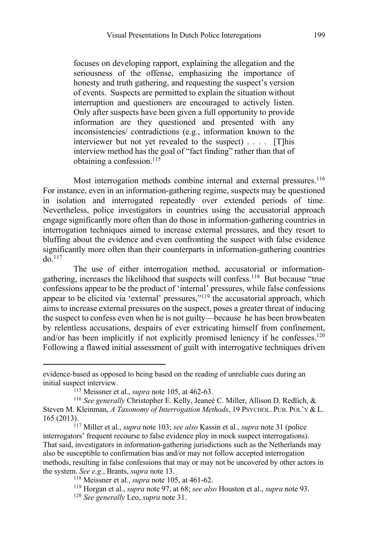focuses on developing rapport, explaining the allegation and the seriousness of the offense, emphasizing the importance of honesty and truth gathering, and requesting the suspect's version of events. Suspects are permitted to explain the situation without interruption and questioners are encouraged to actively listen. Only after suspects have been given a full opportunity to provide information are they questioned and presented with any inconsistencies/ contradictions (e.g., information known to the interviewer but not yet revealed to the suspect) . . . . [T]his interview method has the goal of "fact finding" rather than that of obtaining a confession.<sup>115</sup>

Most interrogation methods combine internal and external pressures.<sup>116</sup> For instance, even in an information-gathering regime, suspects may be questioned in isolation and interrogated repeatedly over extended periods of time. Nevertheless, police investigators in countries using the accusatorial approach engage significantly more often than do those in information-gathering countries in interrogation techniques aimed to increase external pressures, and they resort to bluffing about the evidence and even confronting the suspect with false evidence significantly more often than their counterparts in information-gathering countries  $d$ o.<sup>117</sup>

The use of either interrogation method, accusatorial or informationgathering, increases the likelihood that suspects will confess.118 But because "true confessions appear to be the product of 'internal' pressures, while false confessions appear to be elicited via 'external' pressures,"<sup>119</sup> the accusatorial approach, which aims to increase external pressures on the suspect, poses a greater threat of inducing the suspect to confess even when he is not guilty—because he has been browbeaten by relentless accusations, despairs of ever extricating himself from confinement, and/or has been implicitly if not explicitly promised leniency if he confesses.<sup>120</sup> Following a flawed initial assessment of guilt with interrogative techniques driven

evidence-based as opposed to being based on the reading of unreliable cues during an initial suspect interview. 115 Meissner et al., *supra* note 105, at 462-63.

<sup>116</sup> *See generally* Christopher E. Kelly, Jeaneé C. Miller, Allison D. Redlich, & Steven M. Kleinman, *A Taxonomy of Interrogation Methods*, 19 PSYCHOL. PUB. POL'Y & L. 165 (2013).

<sup>117</sup> Miller et al., *supra* note 103; *see also* Kassin et al., *supra* note 31 (police interrogators' frequent recourse to false evidence ploy in mock suspect interrogations). That said, investigators in information-gathering jurisdictions such as the Netherlands may also be susceptible to confirmation bias and/or may not follow accepted interrogation methods, resulting in false confessions that may or may not be uncovered by other actors in the system. *See e.g.*, Brants, *supra* note 13.

<sup>118</sup> Meissner et al., *supra* note 105, at 461-62.

<sup>119</sup> Horgan et al., *supra* note 97, at 68; *see also* Houston et al., *supra* note 93.

<sup>120</sup> *See generally* Leo, *supra* note 31.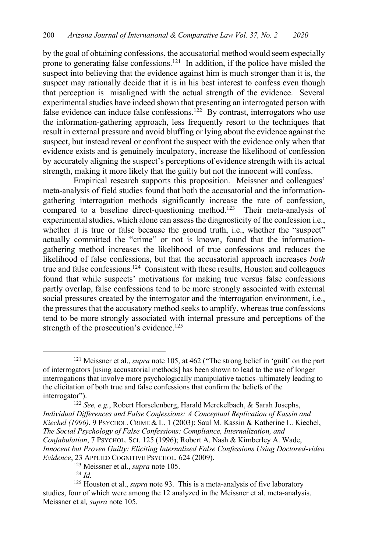by the goal of obtaining confessions, the accusatorial method would seem especially prone to generating false confessions.121 In addition, if the police have misled the suspect into believing that the evidence against him is much stronger than it is, the suspect may rationally decide that it is in his best interest to confess even though that perception is misaligned with the actual strength of the evidence. Several experimental studies have indeed shown that presenting an interrogated person with false evidence can induce false confessions.<sup>122</sup> By contrast, interrogators who use the information-gathering approach, less frequently resort to the techniques that result in external pressure and avoid bluffing or lying about the evidence against the suspect, but instead reveal or confront the suspect with the evidence only when that evidence exists and is genuinely inculpatory, increase the likelihood of confession by accurately aligning the suspect's perceptions of evidence strength with its actual strength, making it more likely that the guilty but not the innocent will confess.

Empirical research supports this proposition. Meissner and colleagues' meta-analysis of field studies found that both the accusatorial and the informationgathering interrogation methods significantly increase the rate of confession, compared to a baseline direct-questioning method.<sup>123</sup> Their meta-analysis of experimental studies, which alone can assess the diagnosticity of the confession i.e., whether it is true or false because the ground truth, i.e., whether the "suspect" actually committed the "crime" or not is known, found that the informationgathering method increases the likelihood of true confessions and reduces the likelihood of false confessions, but that the accusatorial approach increases *both* true and false confessions.<sup>124</sup> Consistent with these results, Houston and colleagues found that while suspects' motivations for making true versus false confessions partly overlap, false confessions tend to be more strongly associated with external social pressures created by the interrogator and the interrogation environment, i.e., the pressures that the accusatory method seeks to amplify, whereas true confessions tend to be more strongly associated with internal pressure and perceptions of the strength of the prosecution's evidence.<sup>125</sup>

<sup>121</sup> Meissner et al., *supra* note 105, at 462 ("The strong belief in 'guilt' on the part of interrogators [using accusatorial methods] has been shown to lead to the use of longer interrogations that involve more psychologically manipulative tactics–ultimately leading to the elicitation of both true and false confessions that confirm the beliefs of the interrogator").

<sup>122</sup> *See, e.g.*, Robert Horselenberg, Harald Merckelbach, & Sarah Josephs, *Individual Differences and False Confessions: A Conceptual Replication of Kassin and Kiechel (1996)*, 9 PSYCHOL. CRIME & L. 1 (2003); Saul M. Kassin & Katherine L. Kiechel, *The Social Psychology of False Confessions: Compliance, Internalization, and Confabulation*, 7 PSYCHOL. SCI. 125 (1996); Robert A. Nash & Kimberley A. Wade, *Innocent but Proven Guilty: Eliciting Internalized False Confessions Using Doctored-video Evidence*, 23 APPLIED COGNITIVE PSYCHOL. 624 (2009).

<sup>123</sup> Meissner et al., *supra* note 105.

 $124$  *Id.* 

<sup>125</sup> Houston et al., *supra* note 93. This is a meta-analysis of five laboratory studies, four of which were among the 12 analyzed in the Meissner et al. meta-analysis. Meissner et al*, supra* note 105.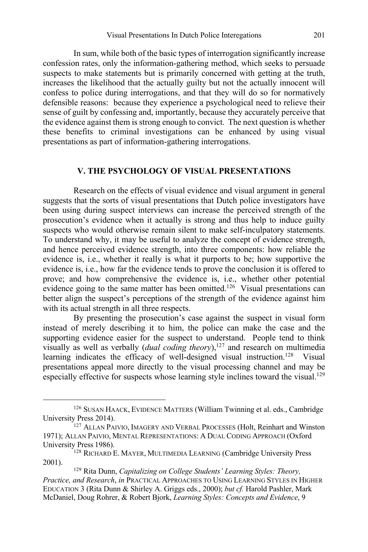In sum, while both of the basic types of interrogation significantly increase confession rates, only the information-gathering method, which seeks to persuade suspects to make statements but is primarily concerned with getting at the truth, increases the likelihood that the actually guilty but not the actually innocent will confess to police during interrogations, and that they will do so for normatively defensible reasons: because they experience a psychological need to relieve their sense of guilt by confessing and, importantly, because they accurately perceive that the evidence against them is strong enough to convict. The next question is whether these benefits to criminal investigations can be enhanced by using visual presentations as part of information-gathering interrogations.

#### **V. THE PSYCHOLOGY OF VISUAL PRESENTATIONS**

Research on the effects of visual evidence and visual argument in general suggests that the sorts of visual presentations that Dutch police investigators have been using during suspect interviews can increase the perceived strength of the prosecution's evidence when it actually is strong and thus help to induce guilty suspects who would otherwise remain silent to make self-inculpatory statements. To understand why, it may be useful to analyze the concept of evidence strength, and hence perceived evidence strength, into three components: how reliable the evidence is, i.e., whether it really is what it purports to be; how supportive the evidence is, i.e., how far the evidence tends to prove the conclusion it is offered to prove; and how comprehensive the evidence is, i.e., whether other potential evidence going to the same matter has been omitted.<sup>126</sup> Visual presentations can better align the suspect's perceptions of the strength of the evidence against him with its actual strength in all three respects.

By presenting the prosecution's case against the suspect in visual form instead of merely describing it to him, the police can make the case and the supporting evidence easier for the suspect to understand. People tend to think visually as well as verbally *(dual coding theory*),<sup>127</sup> and research on multimedia learning indicates the efficacy of well-designed visual instruction.<sup>128</sup> Visual presentations appeal more directly to the visual processing channel and may be especially effective for suspects whose learning style inclines toward the visual.<sup>129</sup>

<sup>126</sup> SUSAN HAACK, EVIDENCE MATTERS (William Twinning et al. eds., Cambridge University Press 2014).

<sup>&</sup>lt;sup>127</sup> ALLAN PAIVIO, IMAGERY AND VERBAL PROCESSES (Holt, Reinhart and Winston 1971); ALLAN PAIVIO, MENTAL REPRESENTATIONS: A DUAL CODING APPROACH (Oxford University Press 1986).

<sup>128</sup> RICHARD E. MAYER, MULTIMEDIA LEARNING (Cambridge University Press 2001).

<sup>129</sup> Rita Dunn, *Capitalizing on College Students' Learning Styles: Theory, Practice, and Research*, *in* PRACTICAL APPROACHES TO USING LEARNING STYLES IN HIGHER EDUCATION 3 (Rita Dunn & Shirley A. Griggs eds., 2000); *but cf.* Harold Pashler, Mark McDaniel, Doug Rohrer, & Robert Bjork, *Learning Styles: Concepts and Evidence*, 9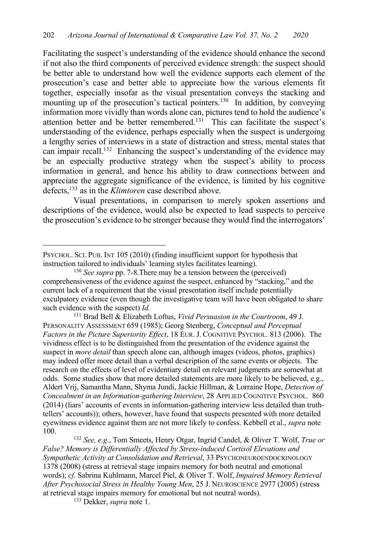Facilitating the suspect's understanding of the evidence should enhance the second if not also the third components of perceived evidence strength: the suspect should be better able to understand how well the evidence supports each element of the prosecution's case and better able to appreciate how the various elements fit together, especially insofar as the visual presentation conveys the stacking and mounting up of the prosecution's tactical pointers.<sup>130</sup> In addition, by conveying information more vividly than words alone can, pictures tend to hold the audience's attention better and be better remembered.<sup>131</sup> This can facilitate the suspect's understanding of the evidence, perhaps especially when the suspect is undergoing a lengthy series of interviews in a state of distraction and stress, mental states that can impair recall.<sup>132</sup> Enhancing the suspect's understanding of the evidence may be an especially productive strategy when the suspect's ability to process information in general, and hence his ability to draw connections between and appreciate the aggregate significance of the evidence, is limited by his cognitive defects,133 as in the *Klimtoren* case described above.

Visual presentations, in comparison to merely spoken assertions and descriptions of the evidence, would also be expected to lead suspects to perceive the prosecution's evidence to be stronger because they would find the interrogators'

<sup>131</sup> Brad Bell & Elizabeth Loftus, *Vivid Persuasion in the Courtroom*, 49 J. PERSONALITY ASSESSMENT 659 (1985); Georg Stenberg, *Conceptual and Perceptual Factors in the Picture Superiority Effect*, 18 EUR.J. COGNITIVE PSYCHOL. 813 (2006). The vividness effect is to be distinguished from the presentation of the evidence against the suspect in *more detail* than speech alone can, although images (videos, photos, graphics) may indeed offer more detail than a verbal description of the same events or objects. The research on the effects of level of evidentiary detail on relevant judgments are somewhat at odds. Some studies show that more detailed statements are more likely to be believed, e.g., Aldert Vrij, Samantha Mann, Shyma Jundi, Jackie Hillman, & Lorraine Hope, *Detection of Concealment in an Information-gathering Interview*, 28 APPLIED COGNITIVE PSYCHOL. 860 (2014) (liars' accounts of events in information-gathering interview less detailed than truthtellers' accounts)); others, however, have found that suspects presented with more detailed eyewitness evidence against them are not more likely to confess. Kebbell et al., *supra* note 100.

<sup>132</sup> *See, e.g*., Tom Smeets, Henry Otgar, Ingrid Candel, & Oliver T. Wolf, *True or False? Memory is Differentially Affected by Stress-induced Cortisol Elevations and Sympathetic Activity at Consolidation and Retrieval*, 33 PSYCHONEUROENDOCRINOLOGY 1378 (2008) (stress at retrieval stage impairs memory for both neutral and emotional words); *cf.* Sabrina Kuhlmann, Marcel Piel, & Oliver T. Wolf, *Impaired Memory Retrieval After Psychosocial Stress in Healthy Young Men*, 25 J. NEUROSCIENCE 2977 (2005) (stress at retrieval stage impairs memory for emotional but not neutral words).

PSYCHOL. SCI. PUB. INT 105 (2010) (finding insufficient support for hypothesis that instruction tailored to individuals' learning styles facilitates learning).

<sup>130</sup> *See supra* pp. 7-8.There may be a tension between the (perceived) comprehensiveness of the evidence against the suspect, enhanced by "stacking," and the current lack of a requirement that the visual presentation itself include potentially exculpatory evidence (even though the investigative team will have been obligated to share such evidence with the suspect) *Id.*

<sup>133</sup> Dekker, *supra* note 1.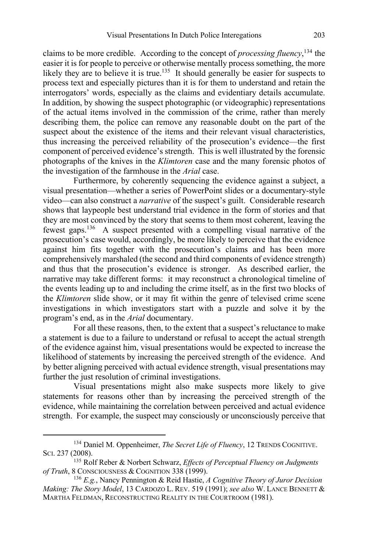claims to be more credible. According to the concept of *processing fluency*, <sup>134</sup> the easier it is for people to perceive or otherwise mentally process something, the more likely they are to believe it is true.<sup>135</sup> It should generally be easier for suspects to process text and especially pictures than it is for them to understand and retain the interrogators' words, especially as the claims and evidentiary details accumulate. In addition, by showing the suspect photographic (or videographic) representations of the actual items involved in the commission of the crime, rather than merely describing them, the police can remove any reasonable doubt on the part of the suspect about the existence of the items and their relevant visual characteristics, thus increasing the perceived reliability of the prosecution's evidence—the first component of perceived evidence's strength. This is well illustrated by the forensic photographs of the knives in the *Klimtoren* case and the many forensic photos of the investigation of the farmhouse in the *Arial* case.

Furthermore, by coherently sequencing the evidence against a subject, a visual presentation—whether a series of PowerPoint slides or a documentary-style video—can also construct a *narrative* of the suspect's guilt. Considerable research shows that laypeople best understand trial evidence in the form of stories and that they are most convinced by the story that seems to them most coherent, leaving the fewest gaps.136 A suspect presented with a compelling visual narrative of the prosecution's case would, accordingly, be more likely to perceive that the evidence against him fits together with the prosecution's claims and has been more comprehensively marshaled (the second and third components of evidence strength) and thus that the prosecution's evidence is stronger. As described earlier, the narrative may take different forms: it may reconstruct a chronological timeline of the events leading up to and including the crime itself, as in the first two blocks of the *Klimtoren* slide show, or it may fit within the genre of televised crime scene investigations in which investigators start with a puzzle and solve it by the program's end, as in the *Arial* documentary.

For all these reasons, then, to the extent that a suspect's reluctance to make a statement is due to a failure to understand or refusal to accept the actual strength of the evidence against him, visual presentations would be expected to increase the likelihood of statements by increasing the perceived strength of the evidence. And by better aligning perceived with actual evidence strength, visual presentations may further the just resolution of criminal investigations.

Visual presentations might also make suspects more likely to give statements for reasons other than by increasing the perceived strength of the evidence, while maintaining the correlation between perceived and actual evidence strength. For example, the suspect may consciously or unconsciously perceive that

<sup>&</sup>lt;sup>134</sup> Daniel M. Oppenheimer, *The Secret Life of Fluency*, 12 TRENDS COGNITIVE. SCI. 237 (2008).

<sup>135</sup> Rolf Reber & Norbert Schwarz, *Effects of Perceptual Fluency on Judgments of Truth*, 8 CONSCIOUSNESS & COGNITION 338 (1999).

<sup>136</sup> *E.g.*, Nancy Pennington & Reid Hastie, *A Cognitive Theory of Juror Decision Making: The Story Model*, 13 CARDOZO L. REV. 519 (1991); *see also* W. LANCE BENNETT & MARTHA FELDMAN, RECONSTRUCTING REALITY IN THE COURTROOM (1981).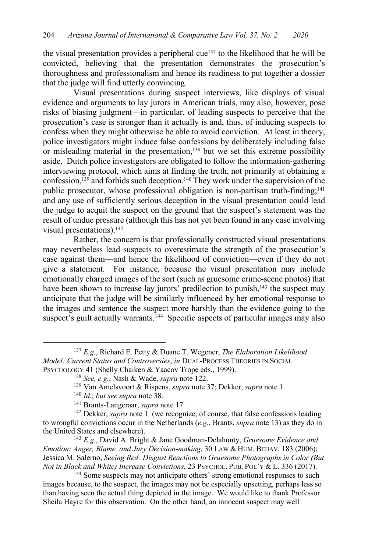the visual presentation provides a peripheral cue<sup>137</sup> to the likelihood that he will be convicted, believing that the presentation demonstrates the prosecution's thoroughness and professionalism and hence its readiness to put together a dossier that the judge will find utterly convincing.

Visual presentations during suspect interviews, like displays of visual evidence and arguments to lay jurors in American trials, may also, however, pose risks of biasing judgment—in particular, of leading suspects to perceive that the prosecution's case is stronger than it actually is and, thus, of inducing suspects to confess when they might otherwise be able to avoid conviction. At least in theory, police investigators might induce false confessions by deliberately including false or misleading material in the presentation,<sup>138</sup> but we set this extreme possibility aside. Dutch police investigators are obligated to follow the information-gathering interviewing protocol, which aims at finding the truth, not primarily at obtaining a confession,<sup>139</sup> and forbids such deception.<sup>140</sup> They work under the supervision of the public prosecutor, whose professional obligation is non-partisan truth-finding;141 and any use of sufficiently serious deception in the visual presentation could lead the judge to acquit the suspect on the ground that the suspect's statement was the result of undue pressure (although this has not yet been found in any case involving visual presentations).142

Rather, the concern is that professionally constructed visual presentations may nevertheless lead suspects to overestimate the strength of the prosecution's case against them—and hence the likelihood of conviction—even if they do not give a statement. For instance, because the visual presentation may include emotionally charged images of the sort (such as gruesome crime-scene photos) that have been shown to increase lay jurors' predilection to punish,<sup>143</sup> the suspect may anticipate that the judge will be similarly influenced by her emotional response to the images and sentence the suspect more harshly than the evidence going to the suspect's guilt actually warrants.<sup>144</sup> Specific aspects of particular images may also

<sup>139</sup> Van Amelsvoort & Rispens, *supra* note 37; Dekker, *supra* note 1.

<sup>137</sup> *E.g.*, Richard E. Petty & Duane T. Wegener, *The Elaboration Likelihood Model: Current Status and Controversies*, *in* DUAL-PROCESS THEORIES IN SOCIAL PSYCHOLOGY 41 (Shelly Chaiken & Yaacov Trope eds., 1999).

<sup>138</sup> *See, e.g.*, Nash & Wade, *supra* note 122.

<sup>140</sup> *Id.*; *but see supra* note 38.

<sup>141</sup> Brants-Langeraar, *supra* note 17.

<sup>&</sup>lt;sup>142</sup> Dekker, *supra* note 1 (we recognize, of course, that false confessions leading to wrongful convictions occur in the Netherlands (*e.g.*, Brants, *supra* note 13) as they do in the United States and elsewhere).

<sup>143</sup> *E.g.*, David A. Bright & Jane Goodman-Delahunty, *Gruesome Evidence and Emotion: Anger, Blame, and Jury Decision-making*, 30 LAW & HUM. BEHAV. 183 (2006); Jessica M. Salerno, *Seeing Red: Disgust Reactions to Gruesome Photographs in Color (But Not in Black and White) Increase Convictions*, 23 PSYCHOL. PUB. POL'Y & L. 336 (2017).

<sup>&</sup>lt;sup>144</sup> Some suspects may not anticipate others' strong emotional responses to such images because, to the suspect, the images may not be especially upsetting, perhaps less so than having seen the actual thing depicted in the image. We would like to thank Professor Sheila Hayre for this observation. On the other hand, an innocent suspect may well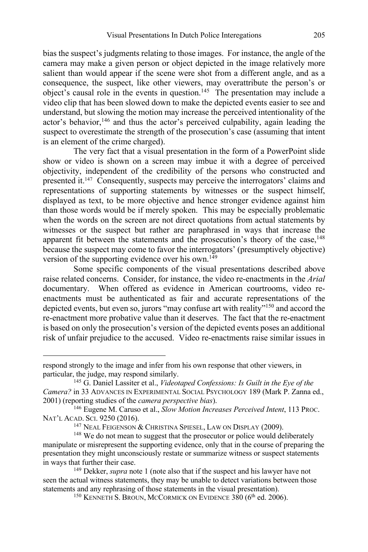bias the suspect's judgments relating to those images. For instance, the angle of the camera may make a given person or object depicted in the image relatively more salient than would appear if the scene were shot from a different angle, and as a consequence, the suspect, like other viewers, may overattribute the person's or object's causal role in the events in question.<sup>145</sup> The presentation may include a video clip that has been slowed down to make the depicted events easier to see and understand, but slowing the motion may increase the perceived intentionality of the actor's behavior,<sup>146</sup> and thus the actor's perceived culpability, again leading the suspect to overestimate the strength of the prosecution's case (assuming that intent is an element of the crime charged).

The very fact that a visual presentation in the form of a PowerPoint slide show or video is shown on a screen may imbue it with a degree of perceived objectivity, independent of the credibility of the persons who constructed and presented it.147 Consequently, suspects may perceive the interrogators' claims and representations of supporting statements by witnesses or the suspect himself, displayed as text, to be more objective and hence stronger evidence against him than those words would be if merely spoken. This may be especially problematic when the words on the screen are not direct quotations from actual statements by witnesses or the suspect but rather are paraphrased in ways that increase the apparent fit between the statements and the prosecution's theory of the case, $148$ because the suspect may come to favor the interrogators' (presumptively objective) version of the supporting evidence over his own.<sup>149</sup>

Some specific components of the visual presentations described above raise related concerns. Consider, for instance, the video re-enactments in the *Arial* documentary. When offered as evidence in American courtrooms, video reenactments must be authenticated as fair and accurate representations of the depicted events, but even so, jurors "may confuse art with reality"<sup>150</sup> and accord the re-enactment more probative value than it deserves. The fact that the re-enactment is based on only the prosecution's version of the depicted events poses an additional risk of unfair prejudice to the accused. Video re-enactments raise similar issues in

respond strongly to the image and infer from his own response that other viewers, in particular, the judge, may respond similarly.

<sup>145</sup> G. Daniel Lassiter et al., *Videotaped Confessions: Is Guilt in the Eye of the Camera?* in 33 ADVANCES IN EXPERIMENTAL SOCIAL PSYCHOLOGY 189 (Mark P. Zanna ed., 2001) (reporting studies of the *camera perspective bias*).

<sup>146</sup> Eugene M. Caruso et al., *Slow Motion Increases Perceived Intent*, 113 PROC. NAT'L ACAD. SCI. 9250 (2016).

<sup>&</sup>lt;sup>147</sup> NEAL FEIGENSON & CHRISTINA SPIESEL, LAW ON DISPLAY (2009).

<sup>&</sup>lt;sup>148</sup> We do not mean to suggest that the prosecutor or police would deliberately manipulate or misrepresent the supporting evidence, only that in the course of preparing the presentation they might unconsciously restate or summarize witness or suspect statements in ways that further their case.

<sup>149</sup> Dekker, *supra* note 1 (note also that if the suspect and his lawyer have not seen the actual witness statements, they may be unable to detect variations between those statements and any rephrasing of those statements in the visual presentation).

<sup>&</sup>lt;sup>150</sup> KENNETH S. BROUN, MCCORMICK ON EVIDENCE 380 (6<sup>th</sup> ed. 2006).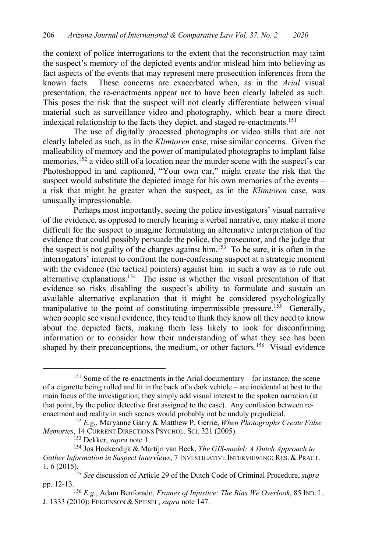the context of police interrogations to the extent that the reconstruction may taint the suspect's memory of the depicted events and/or mislead him into believing as fact aspects of the events that may represent mere prosecution inferences from the known facts. These concerns are exacerbated when, as in the *Arial* visual presentation, the re-enactments appear not to have been clearly labeled as such. This poses the risk that the suspect will not clearly differentiate between visual material such as surveillance video and photography, which bear a more direct indexical relationship to the facts they depict, and staged re-enactments.<sup>151</sup>

The use of digitally processed photographs or video stills that are not clearly labeled as such, as in the *Klimtoren* case, raise similar concerns. Given the malleability of memory and the power of manipulated photographs to implant false memories,<sup>152</sup> a video still of a location near the murder scene with the suspect's car Photoshopped in and captioned, "Your own car," might create the risk that the suspect would substitute the depicted image for his own memories of the events – a risk that might be greater when the suspect, as in the *Klimtoren* case, was unusually impressionable.

Perhaps most importantly, seeing the police investigators' visual narrative of the evidence, as opposed to merely hearing a verbal narrative, may make it more difficult for the suspect to imagine formulating an alternative interpretation of the evidence that could possibly persuade the police, the prosecutor, and the judge that the suspect is not guilty of the charges against him.<sup>153</sup> To be sure, it is often in the interrogators' interest to confront the non-confessing suspect at a strategic moment with the evidence (the tactical pointers) against him in such a way as to rule out alternative explanations.154 The issue is whether the visual presentation of that evidence so risks disabling the suspect's ability to formulate and sustain an available alternative explanation that it might be considered psychologically manipulative to the point of constituting impermissible pressure.<sup>155</sup> Generally, when people see visual evidence, they tend to think they know all they need to know about the depicted facts, making them less likely to look for disconfirming information or to consider how their understanding of what they see has been shaped by their preconceptions, the medium, or other factors.<sup>156</sup> Visual evidence

<sup>&</sup>lt;sup>151</sup> Some of the re-enactments in the Arial documentary – for instance, the scene of a cigarette being rolled and lit in the back of a dark vehicle – are incidental at best to the main focus of the investigation; they simply add visual interest to the spoken narration (at that point, by the police detective first assigned to the case). Any confusion between reenactment and reality in such scenes would probably not be unduly prejudicial.

<sup>152</sup> *E.g.*, Maryanne Garry & Matthew P. Gerrie, *When Photographs Create False Memories*, 14 CURRENT DIRECTIONS PSYCHOL. SCI. 321 (2005).

<sup>153</sup> Dekker, *supra* note 1.

<sup>154</sup> Jos Hoekendijk & Martijn van Beek, *The GIS-model: A Dutch Approach to Gather Information in Suspect Interviews*, 7 INVESTIGATIVE INTERVIEWING: RES. & PRACT. 1, 6 (2015).

<sup>155</sup> *See* discussion of Article 29 of the Dutch Code of Criminal Procedure, *supra*

pp. 12-13.<br><sup>156</sup> *E.g.*, Adam Benforado, *Frames of Injustice: The Bias We Overlook*, 85 IND. L. J. 1333 (2010); FEIGENSON & SPIESEL, *supra* note 147.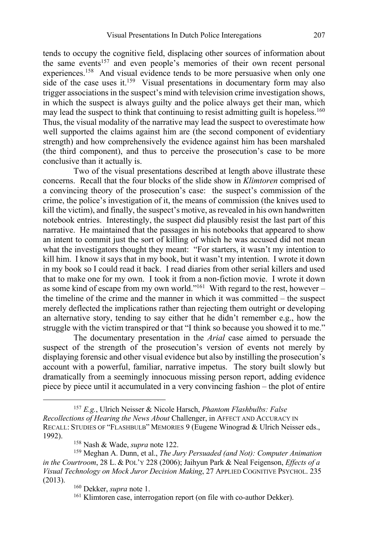tends to occupy the cognitive field, displacing other sources of information about the same events<sup>157</sup> and even people's memories of their own recent personal experiences.<sup>158</sup> And visual evidence tends to be more persuasive when only one side of the case uses it.<sup>159</sup> Visual presentations in documentary form may also trigger associations in the suspect's mind with television crime investigation shows, in which the suspect is always guilty and the police always get their man, which may lead the suspect to think that continuing to resist admitting guilt is hopeless.<sup>160</sup> Thus, the visual modality of the narrative may lead the suspect to overestimate how well supported the claims against him are (the second component of evidentiary strength) and how comprehensively the evidence against him has been marshaled (the third component), and thus to perceive the prosecution's case to be more conclusive than it actually is.

Two of the visual presentations described at length above illustrate these concerns. Recall that the four blocks of the slide show in *Klimtoren* comprised of a convincing theory of the prosecution's case: the suspect's commission of the crime, the police's investigation of it, the means of commission (the knives used to kill the victim), and finally, the suspect's motive, as revealed in his own handwritten notebook entries. Interestingly, the suspect did plausibly resist the last part of this narrative. He maintained that the passages in his notebooks that appeared to show an intent to commit just the sort of killing of which he was accused did not mean what the investigators thought they meant: "For starters, it wasn't my intention to kill him. I know it says that in my book, but it wasn't my intention. I wrote it down in my book so I could read it back. I read diaries from other serial killers and used that to make one for my own. I took it from a non-fiction movie. I wrote it down as some kind of escape from my own world."<sup>161</sup> With regard to the rest, however – the timeline of the crime and the manner in which it was committed – the suspect merely deflected the implications rather than rejecting them outright or developing an alternative story, tending to say either that he didn't remember e.g., how the struggle with the victim transpired or that "I think so because you showed it to me."

The documentary presentation in the *Arial* case aimed to persuade the suspect of the strength of the prosecution's version of events not merely by displaying forensic and other visual evidence but also by instilling the prosecution's account with a powerful, familiar, narrative impetus. The story built slowly but dramatically from a seemingly innocuous missing person report, adding evidence piece by piece until it accumulated in a very convincing fashion – the plot of entire

<sup>157</sup> *E.g.*, Ulrich Neisser & Nicole Harsch, *Phantom Flashbulbs: False Recollections of Hearing the News About* Challenger, in AFFECT AND ACCURACY IN RECALL: STUDIES OF "FLASHBULB" MEMORIES 9 (Eugene Winograd & Ulrich Neisser eds., 1992).

<sup>158</sup> Nash & Wade, *supra* note 122.

<sup>159</sup> Meghan A. Dunn, et al., *The Jury Persuaded (and Not): Computer Animation in the Courtroom*, 28 L. & POL'Y 228 (2006); Jaihyun Park & Neal Feigenson, *Effects of a Visual Technology on Mock Juror Decision Making*, 27 APPLIED COGNITIVE PSYCHOL. 235 (2013).

<sup>160</sup> Dekker, *supra* note 1.

<sup>&</sup>lt;sup>161</sup> Klimtoren case, interrogation report (on file with co-author Dekker).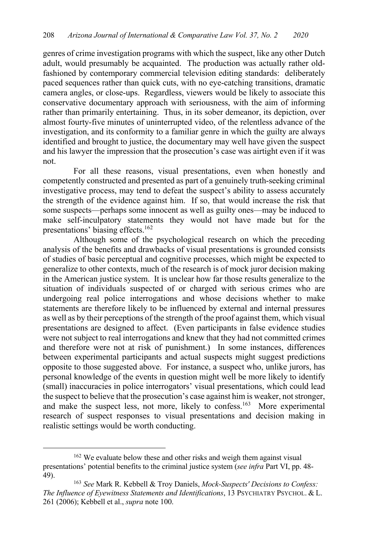genres of crime investigation programs with which the suspect, like any other Dutch adult, would presumably be acquainted. The production was actually rather oldfashioned by contemporary commercial television editing standards: deliberately paced sequences rather than quick cuts, with no eye-catching transitions, dramatic camera angles, or close-ups. Regardless, viewers would be likely to associate this conservative documentary approach with seriousness, with the aim of informing rather than primarily entertaining. Thus, in its sober demeanor, its depiction, over almost fourty-five minutes of uninterrupted video, of the relentless advance of the investigation, and its conformity to a familiar genre in which the guilty are always identified and brought to justice, the documentary may well have given the suspect and his lawyer the impression that the prosecution's case was airtight even if it was not.

For all these reasons, visual presentations, even when honestly and competently constructed and presented as part of a genuinely truth-seeking criminal investigative process, may tend to defeat the suspect's ability to assess accurately the strength of the evidence against him. If so, that would increase the risk that some suspects—perhaps some innocent as well as guilty ones—may be induced to make self-inculpatory statements they would not have made but for the presentations' biasing effects.162

Although some of the psychological research on which the preceding analysis of the benefits and drawbacks of visual presentations is grounded consists of studies of basic perceptual and cognitive processes, which might be expected to generalize to other contexts, much of the research is of mock juror decision making in the American justice system. It is unclear how far those results generalize to the situation of individuals suspected of or charged with serious crimes who are undergoing real police interrogations and whose decisions whether to make statements are therefore likely to be influenced by external and internal pressures as well as by their perceptions of the strength of the proof against them, which visual presentations are designed to affect. (Even participants in false evidence studies were not subject to real interrogations and knew that they had not committed crimes and therefore were not at risk of punishment.) In some instances, differences between experimental participants and actual suspects might suggest predictions opposite to those suggested above. For instance, a suspect who, unlike jurors, has personal knowledge of the events in question might well be more likely to identify (small) inaccuracies in police interrogators' visual presentations, which could lead the suspect to believe that the prosecution's case against him is weaker, not stronger, and make the suspect less, not more, likely to confess.<sup>163</sup> More experimental research of suspect responses to visual presentations and decision making in realistic settings would be worth conducting.

<sup>&</sup>lt;sup>162</sup> We evaluate below these and other risks and weigh them against visual presentations' potential benefits to the criminal justice system (*see infra* Part VI, pp. 48- 49).

<sup>163</sup> *See* Mark R. Kebbell & Troy Daniels, *Mock-Suspects' Decisions to Confess: The Influence of Eyewitness Statements and Identifications*, 13 PSYCHIATRY PSYCHOL. & L. 261 (2006); Kebbell et al., *supra* note 100.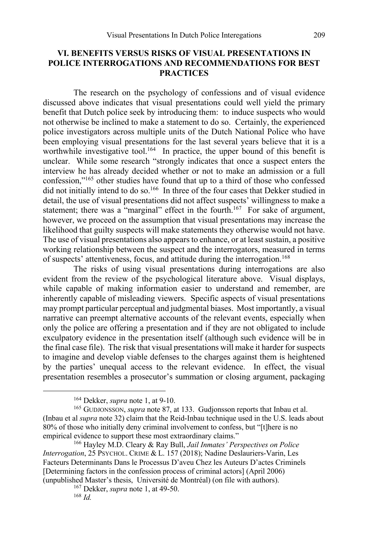# **VI. BENEFITS VERSUS RISKS OF VISUAL PRESENTATIONS IN POLICE INTERROGATIONS AND RECOMMENDATIONS FOR BEST PRACTICES**

The research on the psychology of confessions and of visual evidence discussed above indicates that visual presentations could well yield the primary benefit that Dutch police seek by introducing them: to induce suspects who would not otherwise be inclined to make a statement to do so. Certainly, the experienced police investigators across multiple units of the Dutch National Police who have been employing visual presentations for the last several years believe that it is a worthwhile investigative tool.<sup>164</sup> In practice, the upper bound of this benefit is unclear. While some research "strongly indicates that once a suspect enters the interview he has already decided whether or not to make an admission or a full confession,"165 other studies have found that up to a third of those who confessed did not initially intend to do so.<sup>166</sup> In three of the four cases that Dekker studied in detail, the use of visual presentations did not affect suspects' willingness to make a statement; there was a "marginal" effect in the fourth.<sup>167</sup> For sake of argument, however, we proceed on the assumption that visual presentations may increase the likelihood that guilty suspects will make statements they otherwise would not have. The use of visual presentations also appears to enhance, or at least sustain, a positive working relationship between the suspect and the interrogators, measured in terms of suspects' attentiveness, focus, and attitude during the interrogation.<sup>168</sup>

The risks of using visual presentations during interrogations are also evident from the review of the psychological literature above. Visual displays, while capable of making information easier to understand and remember, are inherently capable of misleading viewers. Specific aspects of visual presentations may prompt particular perceptual and judgmental biases. Most importantly, a visual narrative can preempt alternative accounts of the relevant events, especially when only the police are offering a presentation and if they are not obligated to include exculpatory evidence in the presentation itself (although such evidence will be in the final case file). The risk that visual presentations will make it harder for suspects to imagine and develop viable defenses to the charges against them is heightened by the parties' unequal access to the relevant evidence. In effect, the visual presentation resembles a prosecutor's summation or closing argument, packaging

<sup>164</sup> Dekker, *supra* note 1, at 9-10.

<sup>165</sup> GUDJONSSON, *supra* note 87, at 133. Gudjonsson reports that Inbau et al. (Inbau et al *supra* note 32) claim that the Reid-Inbau technique used in the U.S. leads about 80% of those who initially deny criminal involvement to confess, but "[t]here is no empirical evidence to support these most extraordinary claims."

<sup>166</sup> Hayley M.D. Cleary & Ray Bull, *Jail Inmates' Perspectives on Police Interrogation*, 25 PSYCHOL. CRIME & L. 157 (2018); Nadine Deslauriers-Varin, Les Facteurs Determinants Dans le Processus D'aveu Chez les Auteurs D'actes Criminels [Determining factors in the confession process of criminal actors] (April 2006) (unpublished Master's thesis, Université de Montréal) (on file with authors).

<sup>167</sup> Dekker, *supra* note 1, at 49-50.

<sup>168</sup> *Id.*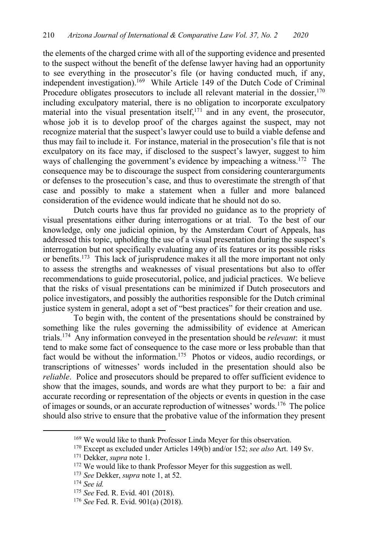the elements of the charged crime with all of the supporting evidence and presented to the suspect without the benefit of the defense lawyer having had an opportunity to see everything in the prosecutor's file (or having conducted much, if any, independent investigation).<sup>169</sup> While Article 149 of the Dutch Code of Criminal Procedure obligates prosecutors to include all relevant material in the dossier,  $170$ including exculpatory material, there is no obligation to incorporate exculpatory material into the visual presentation itself, $171$  and in any event, the prosecutor, whose job it is to develop proof of the charges against the suspect, may not recognize material that the suspect's lawyer could use to build a viable defense and thus may fail to include it. For instance, material in the prosecution's file that is not exculpatory on its face may, if disclosed to the suspect's lawyer, suggest to him ways of challenging the government's evidence by impeaching a witness.<sup>172</sup> The consequence may be to discourage the suspect from considering counterarguments or defenses to the prosecution's case, and thus to overestimate the strength of that case and possibly to make a statement when a fuller and more balanced consideration of the evidence would indicate that he should not do so.

Dutch courts have thus far provided no guidance as to the propriety of visual presentations either during interrogations or at trial. To the best of our knowledge, only one judicial opinion, by the Amsterdam Court of Appeals, has addressed this topic, upholding the use of a visual presentation during the suspect's interrogation but not specifically evaluating any of its features or its possible risks or benefits.173 This lack of jurisprudence makes it all the more important not only to assess the strengths and weaknesses of visual presentations but also to offer recommendations to guide prosecutorial, police, and judicial practices. We believe that the risks of visual presentations can be minimized if Dutch prosecutors and police investigators, and possibly the authorities responsible for the Dutch criminal justice system in general, adopt a set of "best practices" for their creation and use.

To begin with, the content of the presentations should be constrained by something like the rules governing the admissibility of evidence at American trials.174 Any information conveyed in the presentation should be *relevant*: it must tend to make some fact of consequence to the case more or less probable than that fact would be without the information.<sup>175</sup> Photos or videos, audio recordings, or transcriptions of witnesses' words included in the presentation should also be *reliable*. Police and prosecutors should be prepared to offer sufficient evidence to show that the images, sounds, and words are what they purport to be: a fair and accurate recording or representation of the objects or events in question in the case of images or sounds, or an accurate reproduction of witnesses' words.176 The police should also strive to ensure that the probative value of the information they present

<sup>&</sup>lt;sup>169</sup> We would like to thank Professor Linda Meyer for this observation.

<sup>170</sup> Except as excluded under Articles 149(b) and/or 152; *see also* Art. 149 Sv.

<sup>171</sup> Dekker, *supra* note 1.

<sup>172</sup> We would like to thank Professor Meyer for this suggestion as well. 173 *See* Dekker, *supra* note 1, at 52.

<sup>174</sup> *See id.*

<sup>175</sup> *See* Fed. R. Evid. 401 (2018).

<sup>176</sup> *See* Fed. R. Evid. 901(a) (2018).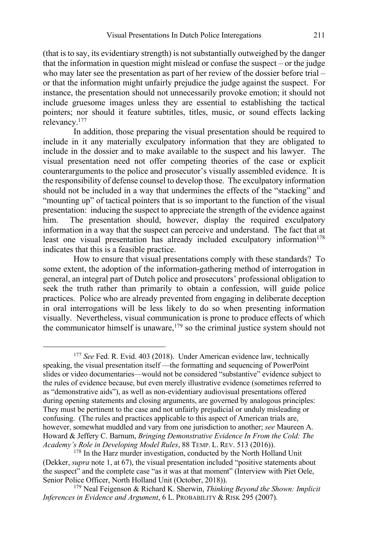(that is to say, its evidentiary strength) is not substantially outweighed by the danger that the information in question might mislead or confuse the suspect – or the judge who may later see the presentation as part of her review of the dossier before trial – or that the information might unfairly prejudice the judge against the suspect. For instance, the presentation should not unnecessarily provoke emotion; it should not include gruesome images unless they are essential to establishing the tactical pointers; nor should it feature subtitles, titles, music, or sound effects lacking relevancy.177

In addition, those preparing the visual presentation should be required to include in it any materially exculpatory information that they are obligated to include in the dossier and to make available to the suspect and his lawyer. The visual presentation need not offer competing theories of the case or explicit counterarguments to the police and prosecutor's visually assembled evidence. It is the responsibility of defense counsel to develop those. The exculpatory information should not be included in a way that undermines the effects of the "stacking" and "mounting up" of tactical pointers that is so important to the function of the visual presentation: inducing the suspect to appreciate the strength of the evidence against him. The presentation should, however, display the required exculpatory information in a way that the suspect can perceive and understand. The fact that at least one visual presentation has already included exculpatory information<sup>178</sup> indicates that this is a feasible practice.

How to ensure that visual presentations comply with these standards? To some extent, the adoption of the information-gathering method of interrogation in general, an integral part of Dutch police and prosecutors' professional obligation to seek the truth rather than primarily to obtain a confession, will guide police practices. Police who are already prevented from engaging in deliberate deception in oral interrogations will be less likely to do so when presenting information visually. Nevertheless, visual communication is prone to produce effects of which the communicator himself is unaware, $179$  so the criminal justice system should not

<sup>&</sup>lt;sup>177</sup> See Fed. R. Evid. 403 (2018). Under American evidence law, technically speaking, the visual presentation itself —the formatting and sequencing of PowerPoint slides or video documentaries—would not be considered "substantive" evidence subject to the rules of evidence because, but even merely illustrative evidence (sometimes referred to as "demonstrative aids"), as well as non-evidentiary audiovisual presentations offered during opening statements and closing arguments, are governed by analogous principles: They must be pertinent to the case and not unfairly prejudicial or unduly misleading or confusing. (The rules and practices applicable to this aspect of American trials are, however, somewhat muddled and vary from one jurisdiction to another; *see* Maureen A. Howard & Jeffery C. Barnum, *Bringing Demonstrative Evidence In From the Cold: The Academy's Role in Developing Model Rules*, 88 TEMP. L. REV. 513 (2016)).

<sup>&</sup>lt;sup>178</sup> In the Harz murder investigation, conducted by the North Holland Unit (Dekker, *supra* note 1, at 67), the visual presentation included "positive statements about the suspect" and the complete case "as it was at that moment" (Interview with Piet Oele, Senior Police Officer, North Holland Unit (October, 2018)).

<sup>179</sup> Neal Feigenson & Richard K. Sherwin, *Thinking Beyond the Shown: Implicit Inferences in Evidence and Argument*, 6 L. PROBABILITY & RISK 295 (2007).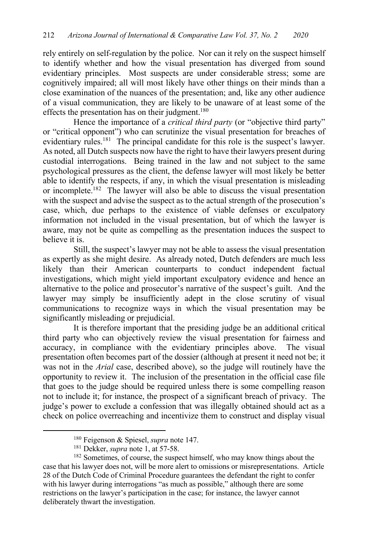rely entirely on self-regulation by the police. Nor can it rely on the suspect himself to identify whether and how the visual presentation has diverged from sound evidentiary principles. Most suspects are under considerable stress; some are cognitively impaired; all will most likely have other things on their minds than a close examination of the nuances of the presentation; and, like any other audience of a visual communication, they are likely to be unaware of at least some of the effects the presentation has on their judgment.<sup>180</sup>

Hence the importance of a *critical third party* (or "objective third party" or "critical opponent") who can scrutinize the visual presentation for breaches of evidentiary rules.<sup>181</sup> The principal candidate for this role is the suspect's lawyer. As noted, all Dutch suspects now have the right to have their lawyers present during custodial interrogations. Being trained in the law and not subject to the same psychological pressures as the client, the defense lawyer will most likely be better able to identify the respects, if any, in which the visual presentation is misleading or incomplete.182 The lawyer will also be able to discuss the visual presentation with the suspect and advise the suspect as to the actual strength of the prosecution's case, which, due perhaps to the existence of viable defenses or exculpatory information not included in the visual presentation, but of which the lawyer is aware, may not be quite as compelling as the presentation induces the suspect to believe it is.

Still, the suspect's lawyer may not be able to assess the visual presentation as expertly as she might desire. As already noted, Dutch defenders are much less likely than their American counterparts to conduct independent factual investigations, which might yield important exculpatory evidence and hence an alternative to the police and prosecutor's narrative of the suspect's guilt. And the lawyer may simply be insufficiently adept in the close scrutiny of visual communications to recognize ways in which the visual presentation may be significantly misleading or prejudicial.

It is therefore important that the presiding judge be an additional critical third party who can objectively review the visual presentation for fairness and accuracy, in compliance with the evidentiary principles above. The visual presentation often becomes part of the dossier (although at present it need not be; it was not in the *Arial* case, described above), so the judge will routinely have the opportunity to review it. The inclusion of the presentation in the official case file that goes to the judge should be required unless there is some compelling reason not to include it; for instance, the prospect of a significant breach of privacy. The judge's power to exclude a confession that was illegally obtained should act as a check on police overreaching and incentivize them to construct and display visual

<sup>180</sup> Feigenson & Spiesel, *supra* note 147.

<sup>181</sup> Dekker, *supra* note 1, at 57-58.

<sup>&</sup>lt;sup>182</sup> Sometimes, of course, the suspect himself, who may know things about the case that his lawyer does not, will be more alert to omissions or misrepresentations. Article 28 of the Dutch Code of Criminal Procedure guarantees the defendant the right to confer with his lawyer during interrogations "as much as possible," although there are some restrictions on the lawyer's participation in the case; for instance, the lawyer cannot deliberately thwart the investigation.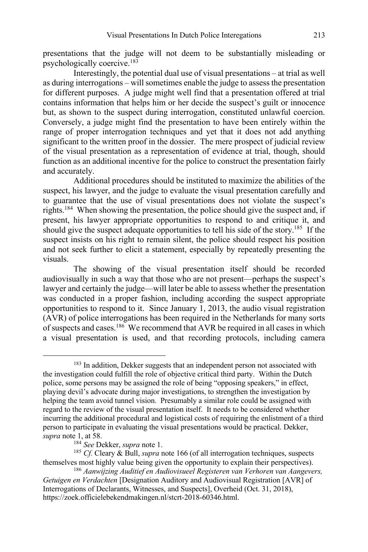presentations that the judge will not deem to be substantially misleading or psychologically coercive.183

Interestingly, the potential dual use of visual presentations – at trial as well as during interrogations – will sometimes enable the judge to assess the presentation for different purposes. A judge might well find that a presentation offered at trial contains information that helps him or her decide the suspect's guilt or innocence but, as shown to the suspect during interrogation, constituted unlawful coercion. Conversely, a judge might find the presentation to have been entirely within the range of proper interrogation techniques and yet that it does not add anything significant to the written proof in the dossier. The mere prospect of judicial review of the visual presentation as a representation of evidence at trial, though, should function as an additional incentive for the police to construct the presentation fairly and accurately.

Additional procedures should be instituted to maximize the abilities of the suspect, his lawyer, and the judge to evaluate the visual presentation carefully and to guarantee that the use of visual presentations does not violate the suspect's rights.184 When showing the presentation, the police should give the suspect and, if present, his lawyer appropriate opportunities to respond to and critique it, and should give the suspect adequate opportunities to tell his side of the story.<sup>185</sup> If the suspect insists on his right to remain silent, the police should respect his position and not seek further to elicit a statement, especially by repeatedly presenting the visuals.

The showing of the visual presentation itself should be recorded audiovisually in such a way that those who are not present—perhaps the suspect's lawyer and certainly the judge—will later be able to assess whether the presentation was conducted in a proper fashion, including according the suspect appropriate opportunities to respond to it. Since January 1, 2013, the audio visual registration (AVR) of police interrogations has been required in the Netherlands for many sorts of suspects and cases.186 We recommend that AVR be required in all cases in which a visual presentation is used, and that recording protocols, including camera

<sup>&</sup>lt;sup>183</sup> In addition, Dekker suggests that an independent person not associated with the investigation could fulfill the role of objective critical third party. Within the Dutch police, some persons may be assigned the role of being "opposing speakers," in effect, playing devil's advocate during major investigations, to strengthen the investigation by helping the team avoid tunnel vision. Presumably a similar role could be assigned with regard to the review of the visual presentation itself. It needs to be considered whether incurring the additional procedural and logistical costs of requiring the enlistment of a third person to participate in evaluating the visual presentations would be practical. Dekker, *supra* note 1, at 58.

<sup>184</sup> *See* Dekker, *supra* note 1.

<sup>185</sup> *Cf.* Cleary & Bull, *supra* note 166 (of all interrogation techniques, suspects themselves most highly value being given the opportunity to explain their perspectives).

<sup>186</sup> *Aanwijzing Auditief en Audiovisueel Registeren van Verhoren van Aangevers, Getuigen en Verdachten* [Designation Auditory and Audiovisual Registration [AVR] of Interrogations of Declarants, Witnesses, and Suspects], Overheid (Oct. 31, 2018), https://zoek.officielebekendmakingen.nl/stcrt-2018-60346.html.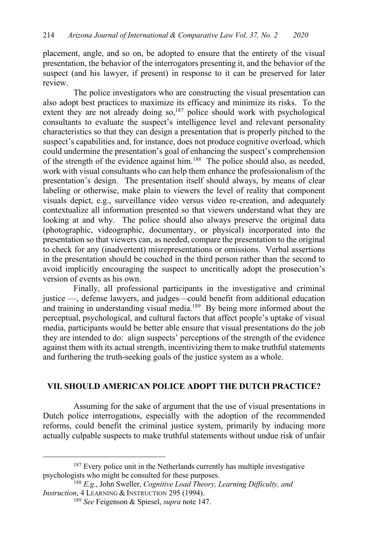placement, angle, and so on, be adopted to ensure that the entirety of the visual presentation, the behavior of the interrogators presenting it, and the behavior of the suspect (and his lawyer, if present) in response to it can be preserved for later review.

The police investigators who are constructing the visual presentation can also adopt best practices to maximize its efficacy and minimize its risks. To the extent they are not already doing so,<sup>187</sup> police should work with psychological consultants to evaluate the suspect's intelligence level and relevant personality characteristics so that they can design a presentation that is properly pitched to the suspect's capabilities and, for instance, does not produce cognitive overload, which could undermine the presentation's goal of enhancing the suspect's comprehension of the strength of the evidence against him.188 The police should also, as needed, work with visual consultants who can help them enhance the professionalism of the presentation's design. The presentation itself should always, by means of clear labeling or otherwise, make plain to viewers the level of reality that component visuals depict, e.g., surveillance video versus video re-creation, and adequately contextualize all information presented so that viewers understand what they are looking at and why. The police should also always preserve the original data (photographic, videographic, documentary, or physical) incorporated into the presentation so that viewers can, as needed, compare the presentation to the original to check for any (inadvertent) misrepresentations or omissions. Verbal assertions in the presentation should be couched in the third person rather than the second to avoid implicitly encouraging the suspect to uncritically adopt the prosecution's version of events as his own.

Finally, all professional participants in the investigative and criminal justice —, defense lawyers, and judges—could benefit from additional education and training in understanding visual media.189 By being more informed about the perceptual, psychological, and cultural factors that affect people's uptake of visual media, participants would be better able ensure that visual presentations do the job they are intended to do: align suspects' perceptions of the strength of the evidence against them with its actual strength, incentivizing them to make truthful statements and furthering the truth-seeking goals of the justice system as a whole.

### **VII. SHOULD AMERICAN POLICE ADOPT THE DUTCH PRACTICE?**

Assuming for the sake of argument that the use of visual presentations in Dutch police interrogations, especially with the adoption of the recommended reforms, could benefit the criminal justice system, primarily by inducing more actually culpable suspects to make truthful statements without undue risk of unfair

<sup>&</sup>lt;sup>187</sup> Every police unit in the Netherlands currently has multiple investigative psychologists who might be consulted for these purposes. 188 *E.g.*, John Sweller, *Cognitive Load Theory, Learning Difficulty, and* 

*Instruction*, 4 LEARNING & INSTRUCTION 295 (1994).

<sup>189</sup> *See* Feigenson & Spiesel, *supra* note 147.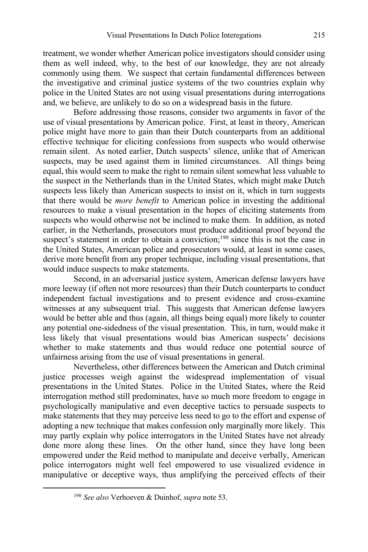treatment, we wonder whether American police investigators should consider using them as well indeed, why, to the best of our knowledge, they are not already commonly using them. We suspect that certain fundamental differences between the investigative and criminal justice systems of the two countries explain why police in the United States are not using visual presentations during interrogations and, we believe, are unlikely to do so on a widespread basis in the future.

Before addressing those reasons, consider two arguments in favor of the use of visual presentations by American police. First, at least in theory, American police might have more to gain than their Dutch counterparts from an additional effective technique for eliciting confessions from suspects who would otherwise remain silent. As noted earlier, Dutch suspects' silence, unlike that of American suspects, may be used against them in limited circumstances. All things being equal, this would seem to make the right to remain silent somewhat less valuable to the suspect in the Netherlands than in the United States, which might make Dutch suspects less likely than American suspects to insist on it, which in turn suggests that there would be *more benefit* to American police in investing the additional resources to make a visual presentation in the hopes of eliciting statements from suspects who would otherwise not be inclined to make them. In addition, as noted earlier, in the Netherlands, prosecutors must produce additional proof beyond the suspect's statement in order to obtain a conviction;<sup>190</sup> since this is not the case in the United States, American police and prosecutors would, at least in some cases, derive more benefit from any proper technique, including visual presentations, that would induce suspects to make statements.

Second, in an adversarial justice system, American defense lawyers have more leeway (if often not more resources) than their Dutch counterparts to conduct independent factual investigations and to present evidence and cross-examine witnesses at any subsequent trial. This suggests that American defense lawyers would be better able and thus (again, all things being equal) more likely to counter any potential one-sidedness of the visual presentation. This, in turn, would make it less likely that visual presentations would bias American suspects' decisions whether to make statements and thus would reduce one potential source of unfairness arising from the use of visual presentations in general.

Nevertheless, other differences between the American and Dutch criminal justice processes weigh against the widespread implementation of visual presentations in the United States. Police in the United States, where the Reid interrogation method still predominates, have so much more freedom to engage in psychologically manipulative and even deceptive tactics to persuade suspects to make statements that they may perceive less need to go to the effort and expense of adopting a new technique that makes confession only marginally more likely. This may partly explain why police interrogators in the United States have not already done more along these lines. On the other hand, since they have long been empowered under the Reid method to manipulate and deceive verbally, American police interrogators might well feel empowered to use visualized evidence in manipulative or deceptive ways, thus amplifying the perceived effects of their

<sup>190</sup> *See also* Verhoeven & Duinhof, *supra* note 53.